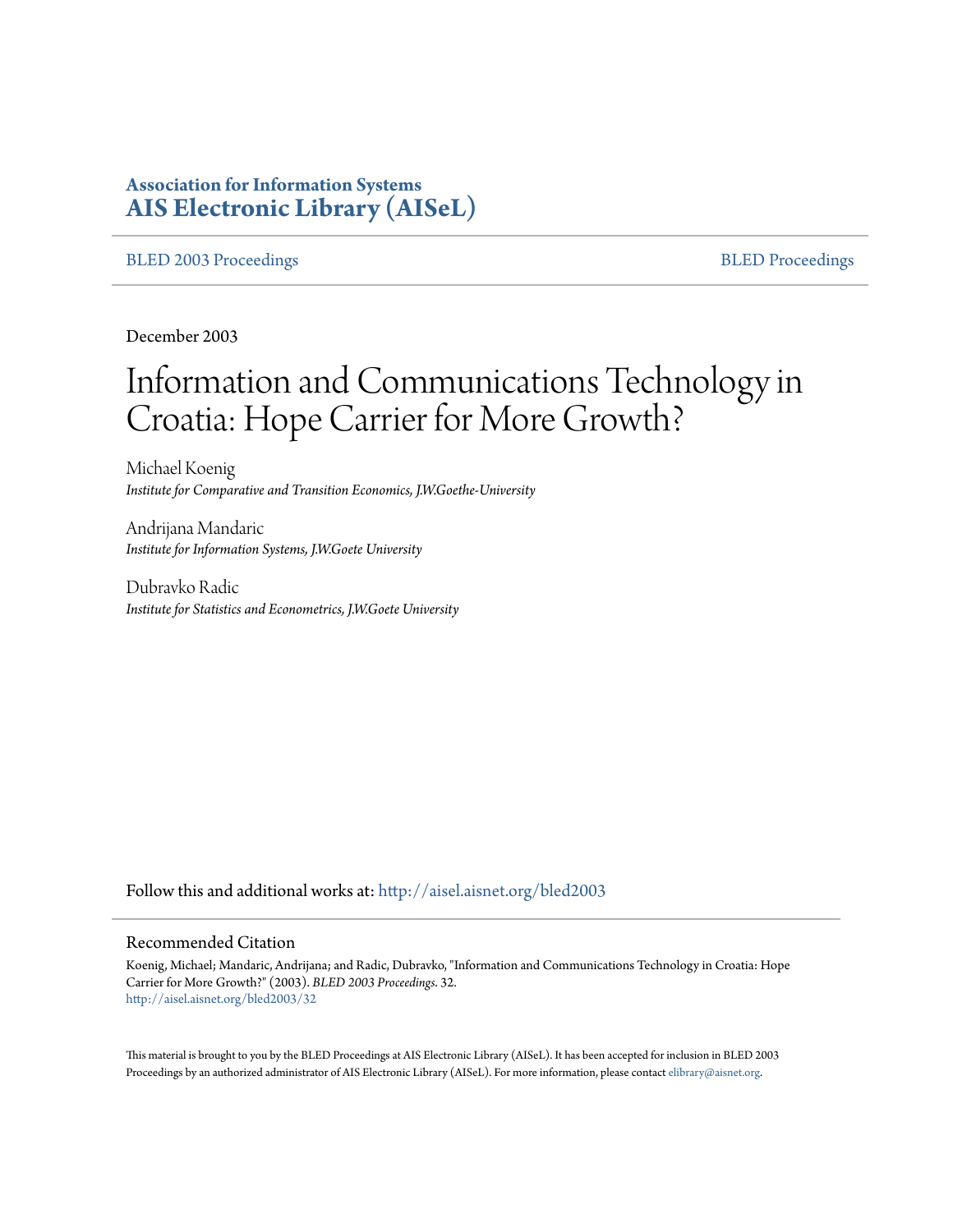# **Association for Information Systems [AIS Electronic Library \(AISeL\)](http://aisel.aisnet.org?utm_source=aisel.aisnet.org%2Fbled2003%2F32&utm_medium=PDF&utm_campaign=PDFCoverPages)**

#### [BLED 2003 Proceedings](http://aisel.aisnet.org/bled2003?utm_source=aisel.aisnet.org%2Fbled2003%2F32&utm_medium=PDF&utm_campaign=PDFCoverPages) and the state of the state of the [BLED Proceedings](http://aisel.aisnet.org/bled?utm_source=aisel.aisnet.org%2Fbled2003%2F32&utm_medium=PDF&utm_campaign=PDFCoverPages) and the BLED Proceedings and the BLED Proceedings and the BLED Proceedings and the BLED Proceedings and the BLED Proceedings and the BLED Proceedings

December 2003

# Information and Communications Technology in Croatia: Hope Carrier for More Growth?

Michael Koenig *Institute for Comparative and Transition Economics, J.W.Goethe-University*

Andrijana Mandaric *Institute for Information Systems, J.W.Goete University*

Dubravko Radic *Institute for Statistics and Econometrics, J.W.Goete University*

Follow this and additional works at: [http://aisel.aisnet.org/bled2003](http://aisel.aisnet.org/bled2003?utm_source=aisel.aisnet.org%2Fbled2003%2F32&utm_medium=PDF&utm_campaign=PDFCoverPages)

#### Recommended Citation

Koenig, Michael; Mandaric, Andrijana; and Radic, Dubravko, "Information and Communications Technology in Croatia: Hope Carrier for More Growth?" (2003). *BLED 2003 Proceedings*. 32. [http://aisel.aisnet.org/bled2003/32](http://aisel.aisnet.org/bled2003/32?utm_source=aisel.aisnet.org%2Fbled2003%2F32&utm_medium=PDF&utm_campaign=PDFCoverPages)

This material is brought to you by the BLED Proceedings at AIS Electronic Library (AISeL). It has been accepted for inclusion in BLED 2003 Proceedings by an authorized administrator of AIS Electronic Library (AISeL). For more information, please contact [elibrary@aisnet.org](mailto:elibrary@aisnet.org%3E).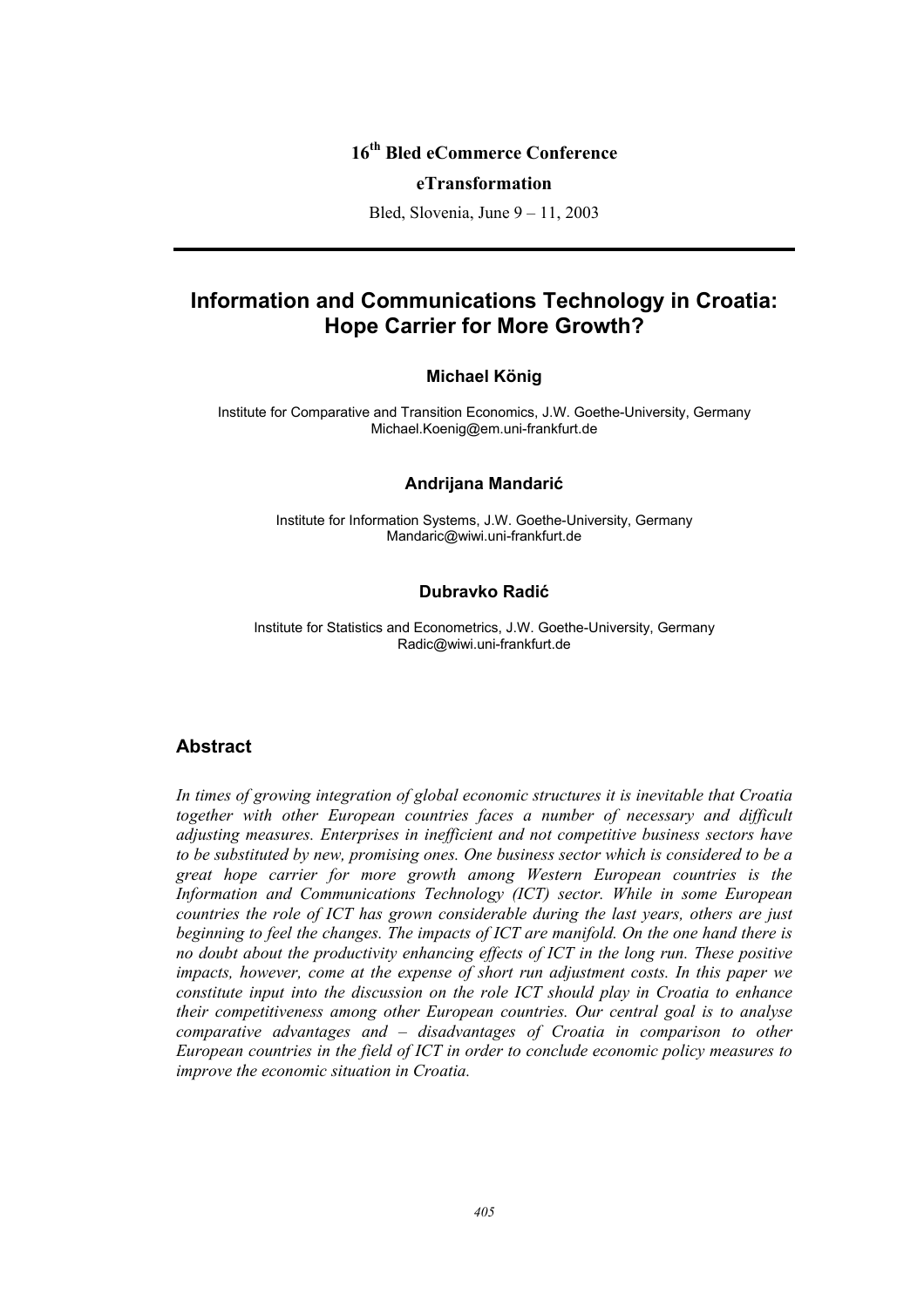# **16th Bled eCommerce Conference**

#### **eTransformation**

Bled, Slovenia, June 9 – 11, 2003

# **Information and Communications Technology in Croatia: Hope Carrier for More Growth?**

#### **Michael König**

Institute for Comparative and Transition Economics, J.W. Goethe-University, Germany Michael.Koenig@em.uni-frankfurt.de

#### **Andrijana Mandarić**

Institute for Information Systems, J.W. Goethe-University, Germany Mandaric@wiwi.uni-frankfurt.de

#### **Dubravko Radić**

Institute for Statistics and Econometrics, J.W. Goethe-University, Germany Radic@wiwi.uni-frankfurt.de

#### **Abstract**

*In times of growing integration of global economic structures it is inevitable that Croatia together with other European countries faces a number of necessary and difficult adjusting measures. Enterprises in inefficient and not competitive business sectors have to be substituted by new, promising ones. One business sector which is considered to be a great hope carrier for more growth among Western European countries is the Information and Communications Technology (ICT) sector. While in some European countries the role of ICT has grown considerable during the last years, others are just beginning to feel the changes. The impacts of ICT are manifold. On the one hand there is no doubt about the productivity enhancing effects of ICT in the long run. These positive impacts, however, come at the expense of short run adjustment costs. In this paper we constitute input into the discussion on the role ICT should play in Croatia to enhance their competitiveness among other European countries. Our central goal is to analyse comparative advantages and – disadvantages of Croatia in comparison to other European countries in the field of ICT in order to conclude economic policy measures to improve the economic situation in Croatia.*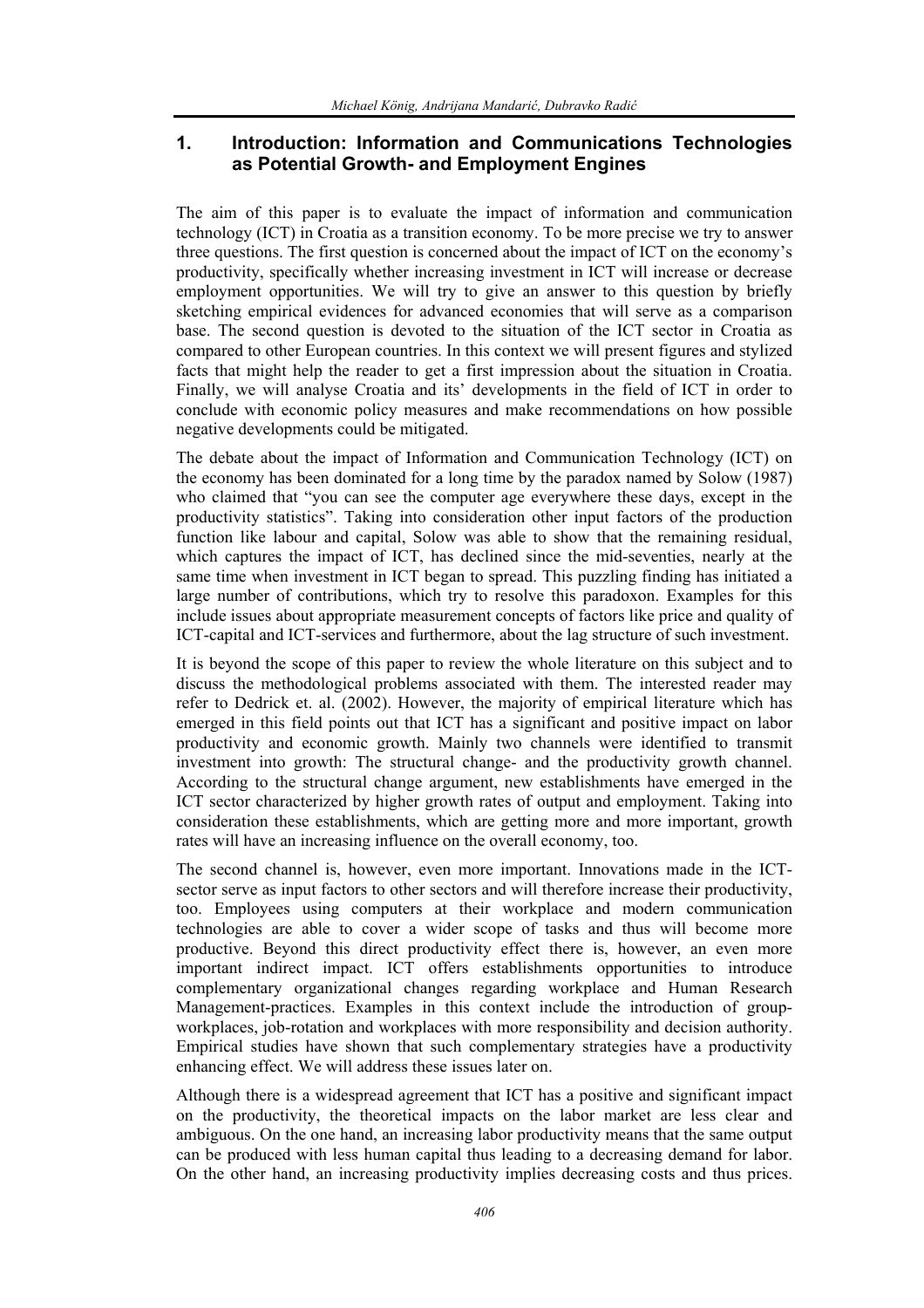## **1. Introduction: Information and Communications Technologies as Potential Growth- and Employment Engines**

The aim of this paper is to evaluate the impact of information and communication technology (ICT) in Croatia as a transition economy. To be more precise we try to answer three questions. The first question is concerned about the impact of ICT on the economy's productivity, specifically whether increasing investment in ICT will increase or decrease employment opportunities. We will try to give an answer to this question by briefly sketching empirical evidences for advanced economies that will serve as a comparison base. The second question is devoted to the situation of the ICT sector in Croatia as compared to other European countries. In this context we will present figures and stylized facts that might help the reader to get a first impression about the situation in Croatia. Finally, we will analyse Croatia and its' developments in the field of ICT in order to conclude with economic policy measures and make recommendations on how possible negative developments could be mitigated.

The debate about the impact of Information and Communication Technology (ICT) on the economy has been dominated for a long time by the paradox named by Solow (1987) who claimed that "you can see the computer age everywhere these days, except in the productivity statistics". Taking into consideration other input factors of the production function like labour and capital, Solow was able to show that the remaining residual, which captures the impact of ICT, has declined since the mid-seventies, nearly at the same time when investment in ICT began to spread. This puzzling finding has initiated a large number of contributions, which try to resolve this paradoxon. Examples for this include issues about appropriate measurement concepts of factors like price and quality of ICT-capital and ICT-services and furthermore, about the lag structure of such investment.

It is beyond the scope of this paper to review the whole literature on this subject and to discuss the methodological problems associated with them. The interested reader may refer to Dedrick et. al. (2002). However, the majority of empirical literature which has emerged in this field points out that ICT has a significant and positive impact on labor productivity and economic growth. Mainly two channels were identified to transmit investment into growth: The structural change- and the productivity growth channel. According to the structural change argument, new establishments have emerged in the ICT sector characterized by higher growth rates of output and employment. Taking into consideration these establishments, which are getting more and more important, growth rates will have an increasing influence on the overall economy, too.

The second channel is, however, even more important. Innovations made in the ICTsector serve as input factors to other sectors and will therefore increase their productivity, too. Employees using computers at their workplace and modern communication technologies are able to cover a wider scope of tasks and thus will become more productive. Beyond this direct productivity effect there is, however, an even more important indirect impact. ICT offers establishments opportunities to introduce complementary organizational changes regarding workplace and Human Research Management-practices. Examples in this context include the introduction of groupworkplaces, job-rotation and workplaces with more responsibility and decision authority. Empirical studies have shown that such complementary strategies have a productivity enhancing effect. We will address these issues later on.

Although there is a widespread agreement that ICT has a positive and significant impact on the productivity, the theoretical impacts on the labor market are less clear and ambiguous. On the one hand, an increasing labor productivity means that the same output can be produced with less human capital thus leading to a decreasing demand for labor. On the other hand, an increasing productivity implies decreasing costs and thus prices.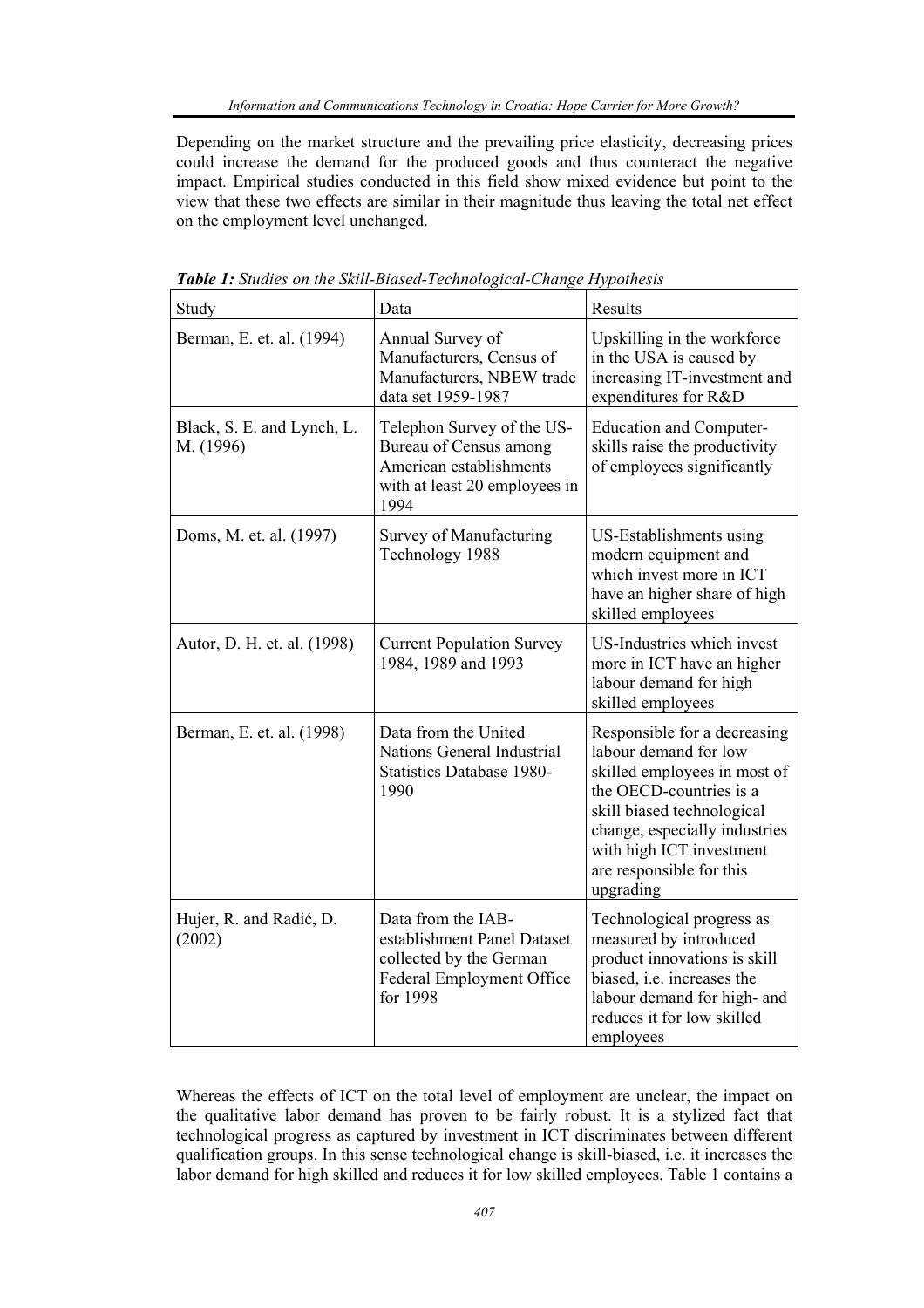Depending on the market structure and the prevailing price elasticity, decreasing prices could increase the demand for the produced goods and thus counteract the negative impact. Empirical studies conducted in this field show mixed evidence but point to the view that these two effects are similar in their magnitude thus leaving the total net effect on the employment level unchanged.

| Study                                   | Data                                                                                                                     | Results                                                                                                                                                                                                                                              |
|-----------------------------------------|--------------------------------------------------------------------------------------------------------------------------|------------------------------------------------------------------------------------------------------------------------------------------------------------------------------------------------------------------------------------------------------|
| Berman, E. et. al. (1994)               | Annual Survey of<br>Manufacturers, Census of<br>Manufacturers, NBEW trade<br>data set 1959-1987                          | Upskilling in the workforce<br>in the USA is caused by<br>increasing IT-investment and<br>expenditures for R&D                                                                                                                                       |
| Black, S. E. and Lynch, L.<br>M. (1996) | Telephon Survey of the US-<br>Bureau of Census among<br>American establishments<br>with at least 20 employees in<br>1994 | <b>Education and Computer-</b><br>skills raise the productivity<br>of employees significantly                                                                                                                                                        |
| Doms, M. et. al. (1997)                 | Survey of Manufacturing<br>Technology 1988                                                                               | US-Establishments using<br>modern equipment and<br>which invest more in ICT<br>have an higher share of high<br>skilled employees                                                                                                                     |
| Autor, D. H. et. al. (1998)             | <b>Current Population Survey</b><br>1984, 1989 and 1993                                                                  | US-Industries which invest<br>more in ICT have an higher<br>labour demand for high<br>skilled employees                                                                                                                                              |
| Berman, E. et. al. (1998)               | Data from the United<br><b>Nations General Industrial</b><br><b>Statistics Database 1980-</b><br>1990                    | Responsible for a decreasing<br>labour demand for low<br>skilled employees in most of<br>the OECD-countries is a<br>skill biased technological<br>change, especially industries<br>with high ICT investment<br>are responsible for this<br>upgrading |
| Hujer, R. and Radić, D.<br>(2002)       | Data from the IAB-<br>establishment Panel Dataset<br>collected by the German<br>Federal Employment Office<br>for 1998    | Technological progress as<br>measured by introduced<br>product innovations is skill<br>biased, i.e. increases the<br>labour demand for high- and<br>reduces it for low skilled<br>employees                                                          |

*Table 1: Studies on the Skill-Biased-Technological-Change Hypothesis* 

Whereas the effects of ICT on the total level of employment are unclear, the impact on the qualitative labor demand has proven to be fairly robust. It is a stylized fact that technological progress as captured by investment in ICT discriminates between different qualification groups. In this sense technological change is skill-biased, i.e. it increases the labor demand for high skilled and reduces it for low skilled employees. Table 1 contains a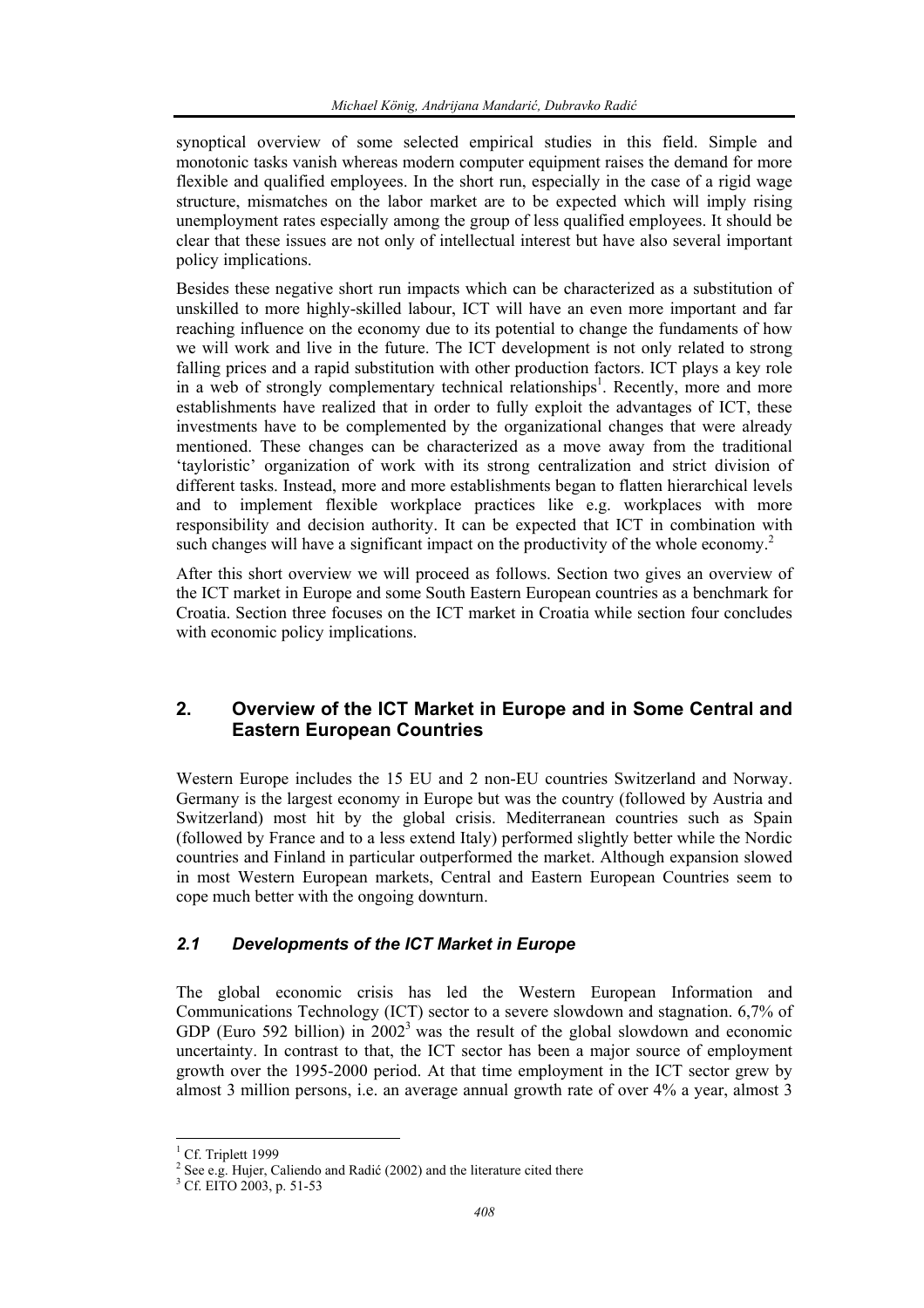synoptical overview of some selected empirical studies in this field. Simple and monotonic tasks vanish whereas modern computer equipment raises the demand for more flexible and qualified employees. In the short run, especially in the case of a rigid wage structure, mismatches on the labor market are to be expected which will imply rising unemployment rates especially among the group of less qualified employees. It should be clear that these issues are not only of intellectual interest but have also several important policy implications.

Besides these negative short run impacts which can be characterized as a substitution of unskilled to more highly-skilled labour, ICT will have an even more important and far reaching influence on the economy due to its potential to change the fundaments of how we will work and live in the future. The ICT development is not only related to strong falling prices and a rapid substitution with other production factors. ICT plays a key role in a web of strongly complementary technical relationships<sup>1</sup>. Recently, more and more establishments have realized that in order to fully exploit the advantages of ICT, these investments have to be complemented by the organizational changes that were already mentioned. These changes can be characterized as a move away from the traditional 'tayloristic' organization of work with its strong centralization and strict division of different tasks. Instead, more and more establishments began to flatten hierarchical levels and to implement flexible workplace practices like e.g. workplaces with more responsibility and decision authority. It can be expected that ICT in combination with such changes will have a significant impact on the productivity of the whole economy.<sup>2</sup>

After this short overview we will proceed as follows. Section two gives an overview of the ICT market in Europe and some South Eastern European countries as a benchmark for Croatia. Section three focuses on the ICT market in Croatia while section four concludes with economic policy implications.

## **2. Overview of the ICT Market in Europe and in Some Central and Eastern European Countries**

Western Europe includes the 15 EU and 2 non-EU countries Switzerland and Norway. Germany is the largest economy in Europe but was the country (followed by Austria and Switzerland) most hit by the global crisis. Mediterranean countries such as Spain (followed by France and to a less extend Italy) performed slightly better while the Nordic countries and Finland in particular outperformed the market. Although expansion slowed in most Western European markets, Central and Eastern European Countries seem to cope much better with the ongoing downturn.

## *2.1 Developments of the ICT Market in Europe*

The global economic crisis has led the Western European Information and Communications Technology (ICT) sector to a severe slowdown and stagnation. 6,7% of GDP (Euro 592 billion) in  $2002<sup>3</sup>$  was the result of the global slowdown and economic uncertainty. In contrast to that, the ICT sector has been a major source of employment growth over the 1995-2000 period. At that time employment in the ICT sector grew by almost 3 million persons, i.e. an average annual growth rate of over 4% a year, almost 3

<sup>&</sup>lt;sup>1</sup> Cf. Triplett 1999

<sup>&</sup>lt;sup>2</sup> See e.g. Hujer, Caliendo and Radić (2002) and the literature cited there  $\frac{3}{5}$  Cf. EUO 2003, p. 51.53

<sup>&</sup>lt;sup>3</sup> Cf. EITO 2003, p. 51-53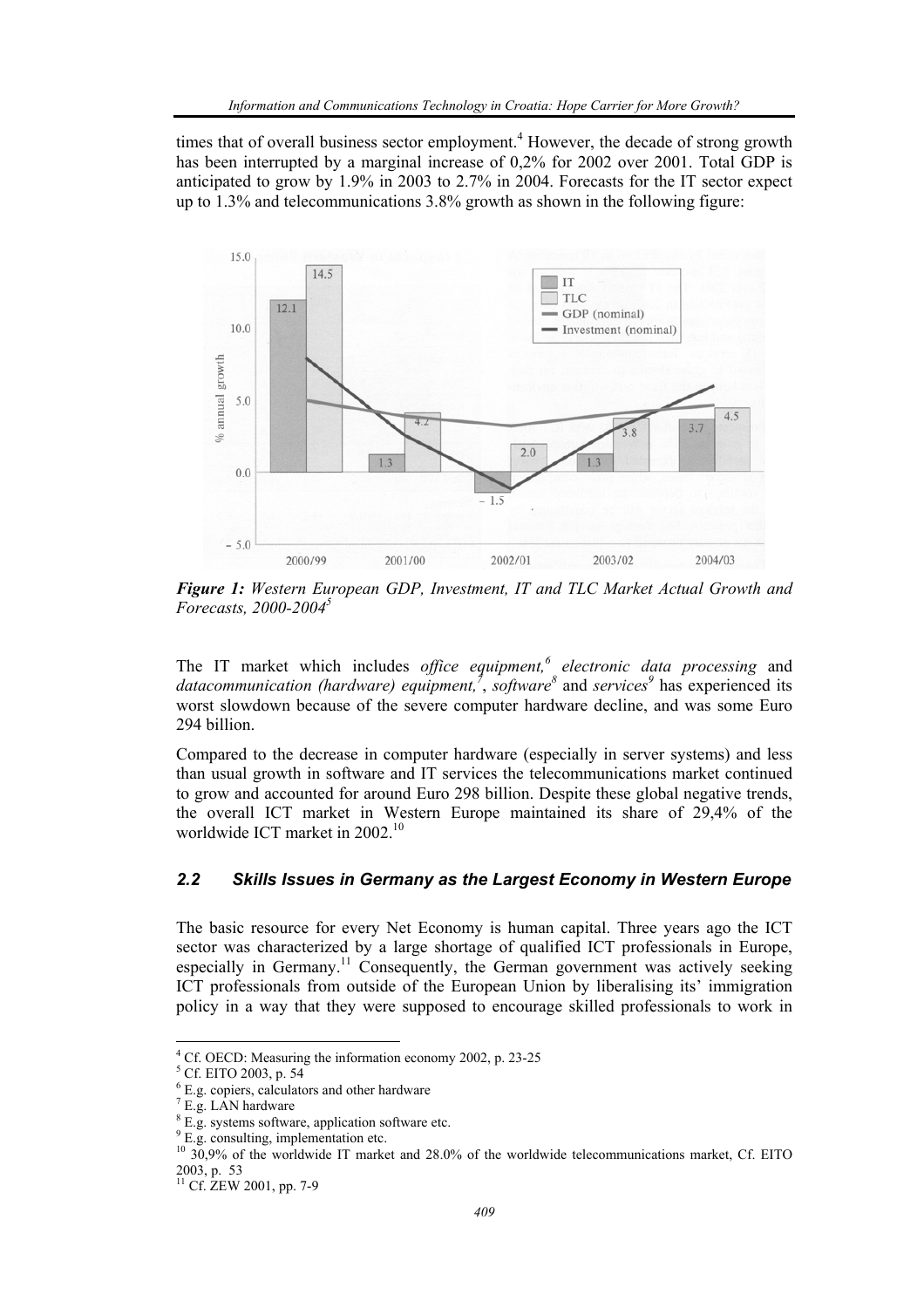times that of overall business sector employment.<sup>4</sup> However, the decade of strong growth has been interrupted by a marginal increase of 0,2% for 2002 over 2001. Total GDP is anticipated to grow by 1.9% in 2003 to 2.7% in 2004. Forecasts for the IT sector expect up to 1.3% and telecommunications 3.8% growth as shown in the following figure:



*Figure 1: Western European GDP, Investment, IT and TLC Market Actual Growth and Forecasts, 2000-2004<sup>5</sup>*

The IT market which includes *office equipment,<sup>6</sup> electronic data processing* and datacommunication (hardware) equipment,<sup>7</sup>, software<sup>8</sup> and services<sup>9</sup> has experienced its worst slowdown because of the severe computer hardware decline, and was some Euro 294 billion.

Compared to the decrease in computer hardware (especially in server systems) and less than usual growth in software and IT services the telecommunications market continued to grow and accounted for around Euro 298 billion. Despite these global negative trends, the overall ICT market in Western Europe maintained its share of 29,4% of the worldwide ICT market in 2002.<sup>10</sup>

## *2.2 Skills Issues in Germany as the Largest Economy in Western Europe*

The basic resource for every Net Economy is human capital. Three years ago the ICT sector was characterized by a large shortage of qualified ICT professionals in Europe, especially in Germany.<sup>11</sup> Consequently, the German government was actively seeking ICT professionals from outside of the European Union by liberalising its' immigration policy in a way that they were supposed to encourage skilled professionals to work in

<sup>&</sup>lt;sup>4</sup> Cf. OECD: Measuring the information economy 2002, p. 23-25<br> $5 \text{ CF EITO}$  2003  $\frac{1}{2}$  54

 $5$  Cf. EITO 2003, p. 54

<sup>6</sup> E.g. copiers, calculators and other hardware

 $7$  E.g. LAN hardware

<sup>&</sup>lt;sup>8</sup> E.g. systems software, application software etc.

<sup>&</sup>lt;sup>9</sup> E.g. consulting, implementation etc.

<sup>&</sup>lt;sup>10</sup> 30,9% of the worldwide IT market and 28.0% of the worldwide telecommunications market, Cf. EITO 2003, p. 53

 $^{11}$  Cf. ZEW 2001, pp. 7-9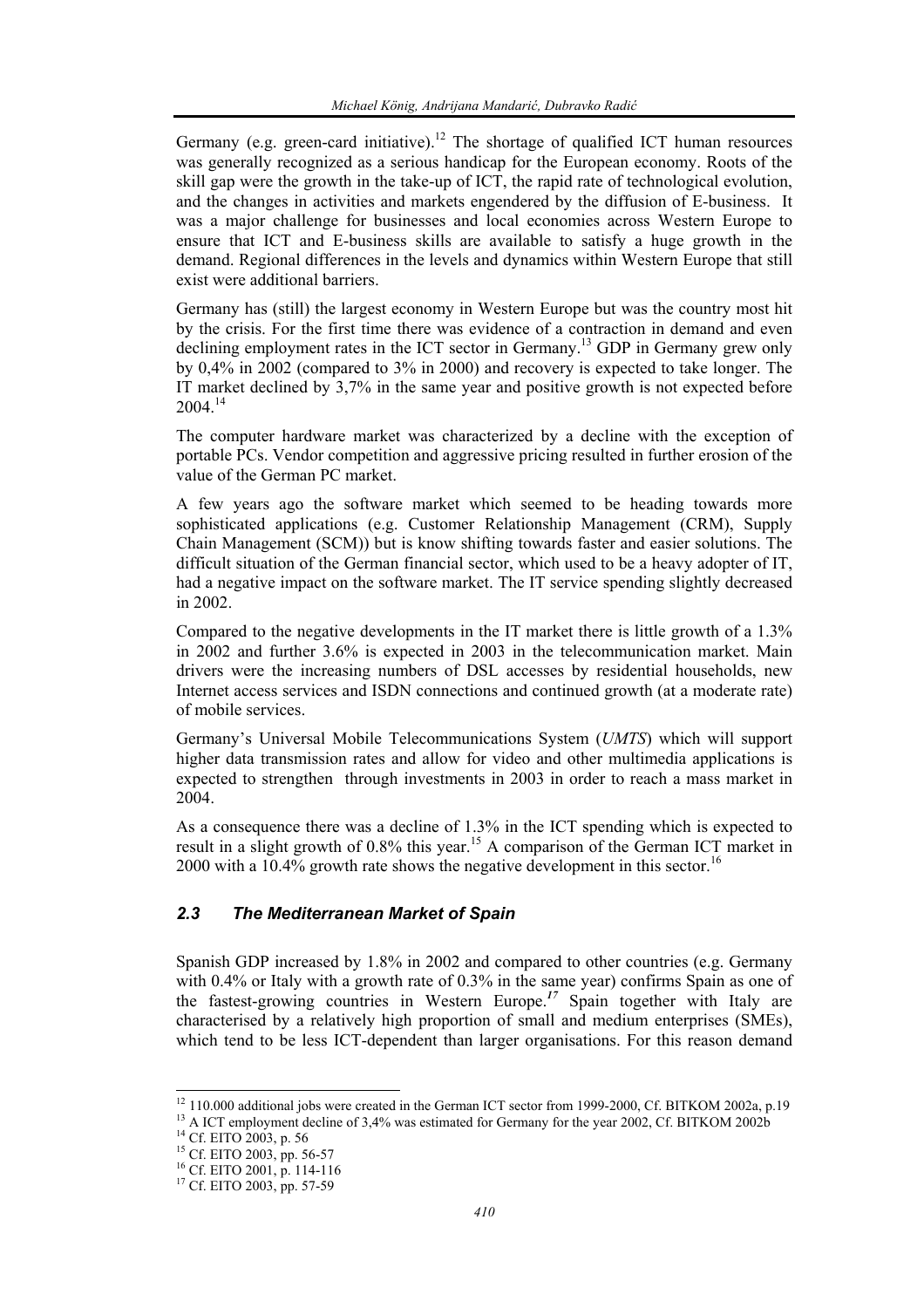Germany (e.g. green-card initiative).<sup>12</sup> The shortage of qualified ICT human resources was generally recognized as a serious handicap for the European economy. Roots of the skill gap were the growth in the take-up of ICT, the rapid rate of technological evolution, and the changes in activities and markets engendered by the diffusion of E-business. It was a major challenge for businesses and local economies across Western Europe to ensure that ICT and E-business skills are available to satisfy a huge growth in the demand. Regional differences in the levels and dynamics within Western Europe that still exist were additional barriers.

Germany has (still) the largest economy in Western Europe but was the country most hit by the crisis. For the first time there was evidence of a contraction in demand and even declining employment rates in the ICT sector in Germany.13 GDP in Germany grew only by 0,4% in 2002 (compared to 3% in 2000) and recovery is expected to take longer. The IT market declined by 3,7% in the same year and positive growth is not expected before  $2004^{14}$ 

The computer hardware market was characterized by a decline with the exception of portable PCs. Vendor competition and aggressive pricing resulted in further erosion of the value of the German PC market.

A few years ago the software market which seemed to be heading towards more sophisticated applications (e.g. Customer Relationship Management (CRM), Supply Chain Management (SCM)) but is know shifting towards faster and easier solutions. The difficult situation of the German financial sector, which used to be a heavy adopter of IT, had a negative impact on the software market. The IT service spending slightly decreased in 2002.

Compared to the negative developments in the IT market there is little growth of a 1.3% in 2002 and further 3.6% is expected in 2003 in the telecommunication market. Main drivers were the increasing numbers of DSL accesses by residential households, new Internet access services and ISDN connections and continued growth (at a moderate rate) of mobile services.

Germany's Universal Mobile Telecommunications System (*UMTS*) which will support higher data transmission rates and allow for video and other multimedia applications is expected to strengthen through investments in 2003 in order to reach a mass market in 2004.

As a consequence there was a decline of 1.3% in the ICT spending which is expected to result in a slight growth of 0.8% this year.<sup>15</sup> A comparison of the German ICT market in 2000 with a  $10.4\%$  growth rate shows the negative development in this sector.<sup>16</sup>

## *2.3 The Mediterranean Market of Spain*

Spanish GDP increased by 1.8% in 2002 and compared to other countries (e.g. Germany with 0.4% or Italy with a growth rate of 0.3% in the same year) confirms Spain as one of the fastest-growing countries in Western Europe.*<sup>17</sup>* Spain together with Italy are characterised by a relatively high proportion of small and medium enterprises (SMEs), which tend to be less ICT-dependent than larger organisations. For this reason demand

<sup>&</sup>lt;sup>12</sup> 110.000 additional jobs were created in the German ICT sector from 1999-2000, Cf. BITKOM 2002a, p.19

<sup>&</sup>lt;sup>13</sup> A ICT employment decline of 3,4% was estimated for Germany for the year 2002, Cf. BITKOM 2002b<sup>14</sup> Cf. EITO 2003, p. 56

<sup>&</sup>lt;sup>15</sup> Cf. EITO 2003, pp. 56-57

<sup>16</sup> Cf. EITO 2001, p. 114-116

<sup>&</sup>lt;sup>17</sup> Cf. EITO 2003, pp. 57-59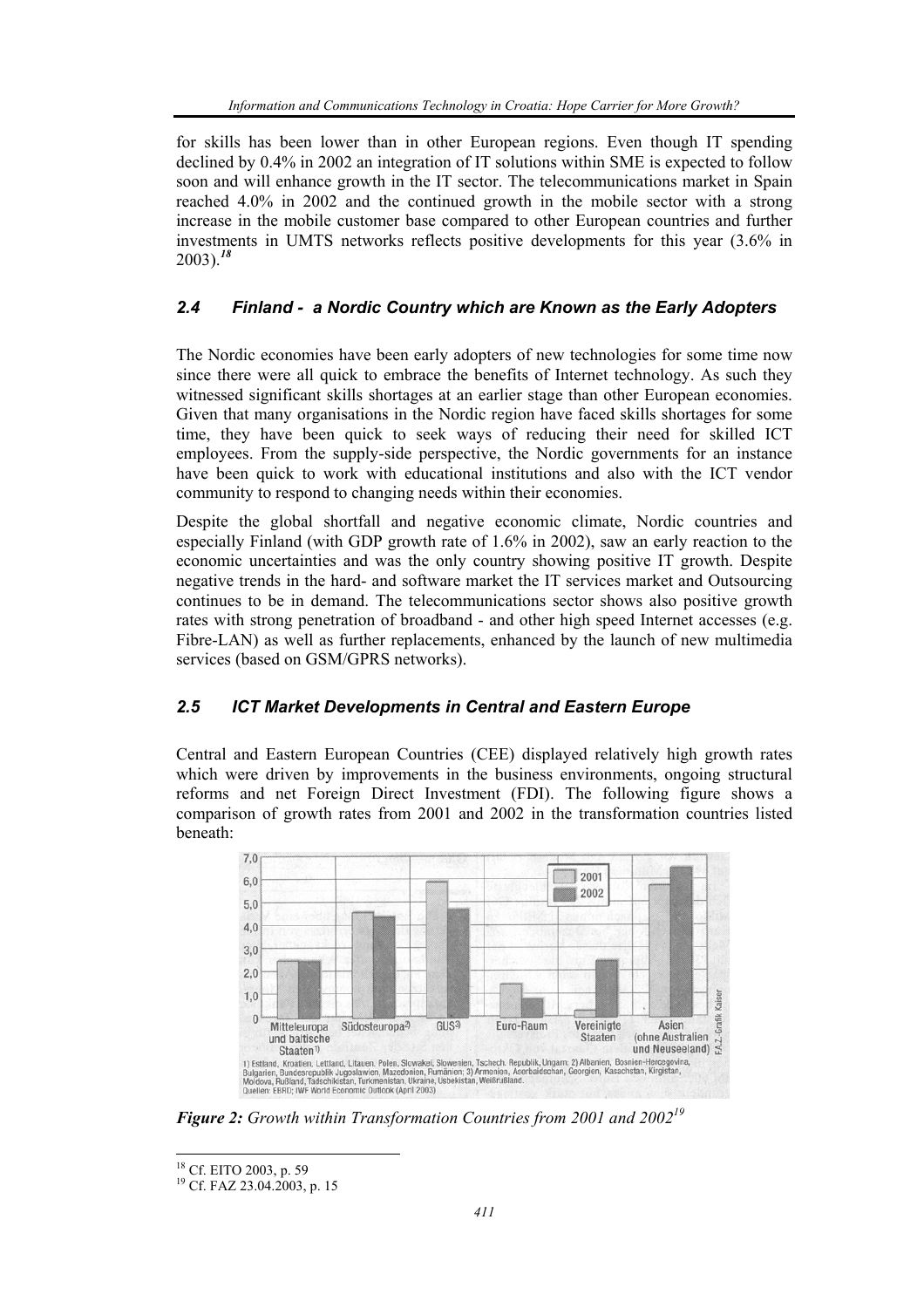for skills has been lower than in other European regions. Even though IT spending declined by 0.4% in 2002 an integration of IT solutions within SME is expected to follow soon and will enhance growth in the IT sector. The telecommunications market in Spain reached 4.0% in 2002 and the continued growth in the mobile sector with a strong increase in the mobile customer base compared to other European countries and further investments in UMTS networks reflects positive developments for this year (3.6% in 2003).*<sup>18</sup>*

## *2.4 Finland - a Nordic Country which are Known as the Early Adopters*

The Nordic economies have been early adopters of new technologies for some time now since there were all quick to embrace the benefits of Internet technology. As such they witnessed significant skills shortages at an earlier stage than other European economies. Given that many organisations in the Nordic region have faced skills shortages for some time, they have been quick to seek ways of reducing their need for skilled ICT employees. From the supply-side perspective, the Nordic governments for an instance have been quick to work with educational institutions and also with the ICT vendor community to respond to changing needs within their economies.

Despite the global shortfall and negative economic climate, Nordic countries and especially Finland (with GDP growth rate of 1.6% in 2002), saw an early reaction to the economic uncertainties and was the only country showing positive IT growth. Despite negative trends in the hard- and software market the IT services market and Outsourcing continues to be in demand. The telecommunications sector shows also positive growth rates with strong penetration of broadband - and other high speed Internet accesses (e.g. Fibre-LAN) as well as further replacements, enhanced by the launch of new multimedia services (based on GSM/GPRS networks).

## *2.5 ICT Market Developments in Central and Eastern Europe*

Central and Eastern European Countries (CEE) displayed relatively high growth rates which were driven by improvements in the business environments, ongoing structural reforms and net Foreign Direct Investment (FDI). The following figure shows a comparison of growth rates from 2001 and 2002 in the transformation countries listed beneath:



*Figure 2: Growth within Transformation Countries from 2001 and 2002<sup>19</sup>*

l <sup>18</sup> Cf. EITO 2003, p. 59

<sup>19</sup> Cf. FAZ 23.04.2003, p. 15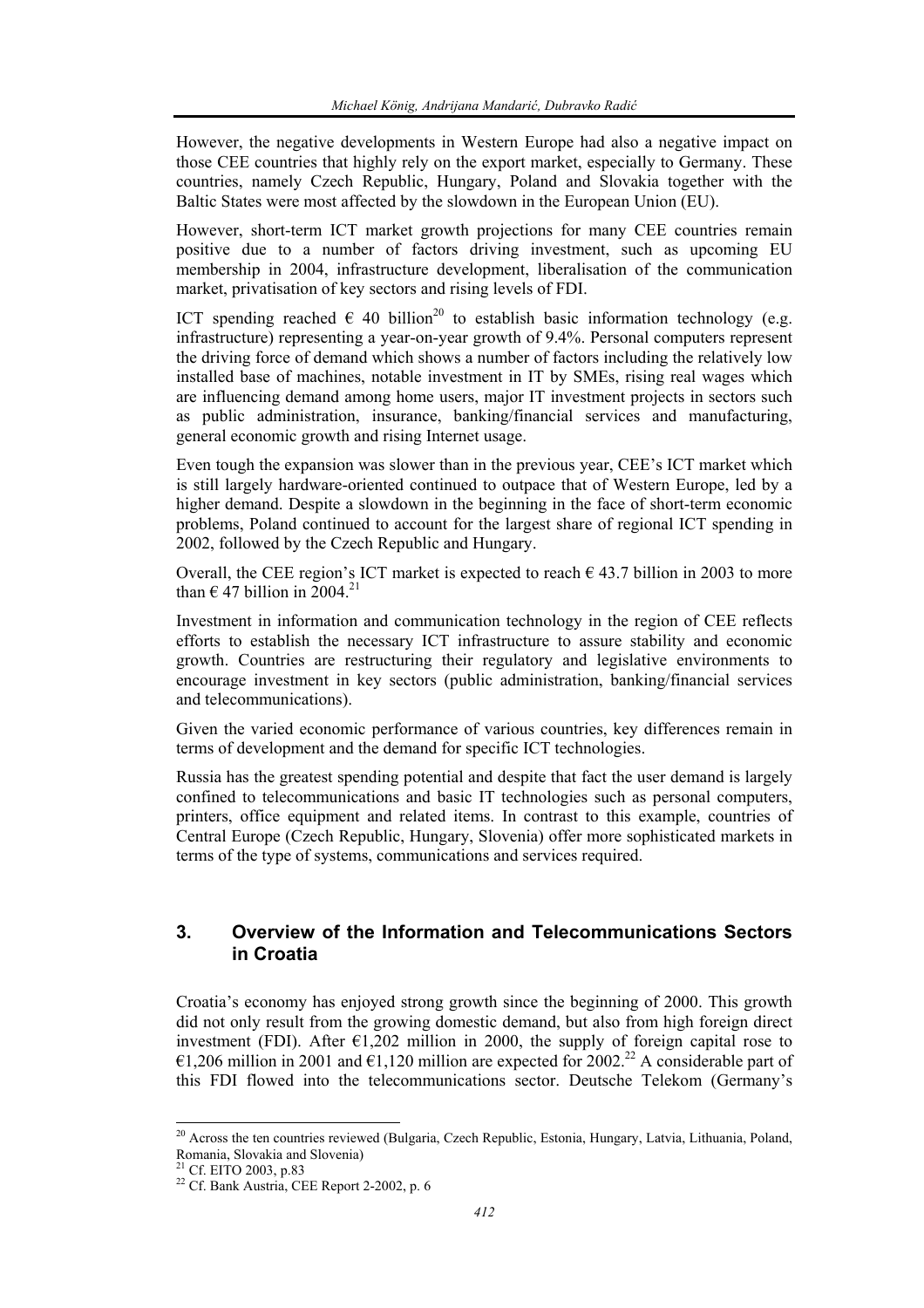However, the negative developments in Western Europe had also a negative impact on those CEE countries that highly rely on the export market, especially to Germany. These countries, namely Czech Republic, Hungary, Poland and Slovakia together with the Baltic States were most affected by the slowdown in the European Union (EU).

However, short-term ICT market growth projections for many CEE countries remain positive due to a number of factors driving investment, such as upcoming EU membership in 2004, infrastructure development, liberalisation of the communication market, privatisation of key sectors and rising levels of FDI.

ICT spending reached  $\epsilon$  40 billion<sup>20</sup> to establish basic information technology (e.g. infrastructure) representing a year-on-year growth of 9.4%. Personal computers represent the driving force of demand which shows a number of factors including the relatively low installed base of machines, notable investment in IT by SMEs, rising real wages which are influencing demand among home users, major IT investment projects in sectors such as public administration, insurance, banking/financial services and manufacturing, general economic growth and rising Internet usage.

Even tough the expansion was slower than in the previous year, CEE's ICT market which is still largely hardware-oriented continued to outpace that of Western Europe, led by a higher demand. Despite a slowdown in the beginning in the face of short-term economic problems, Poland continued to account for the largest share of regional ICT spending in 2002, followed by the Czech Republic and Hungary.

Overall, the CEE region's ICT market is expected to reach  $\epsilon$  43.7 billion in 2003 to more than  $\epsilon$  47 billion in 2004.<sup>21</sup>

Investment in information and communication technology in the region of CEE reflects efforts to establish the necessary ICT infrastructure to assure stability and economic growth. Countries are restructuring their regulatory and legislative environments to encourage investment in key sectors (public administration, banking/financial services and telecommunications).

Given the varied economic performance of various countries, key differences remain in terms of development and the demand for specific ICT technologies.

Russia has the greatest spending potential and despite that fact the user demand is largely confined to telecommunications and basic IT technologies such as personal computers, printers, office equipment and related items. In contrast to this example, countries of Central Europe (Czech Republic, Hungary, Slovenia) offer more sophisticated markets in terms of the type of systems, communications and services required.

## **3. Overview of the Information and Telecommunications Sectors in Croatia**

Croatia's economy has enjoyed strong growth since the beginning of 2000. This growth did not only result from the growing domestic demand, but also from high foreign direct investment (FDI). After  $\epsilon$ 1,202 million in 2000, the supply of foreign capital rose to €1,206 million in 2001 and €1,120 million are expected for 2002.<sup>22</sup> A considerable part of this FDI flowed into the telecommunications sector. Deutsche Telekom (Germany's

<sup>&</sup>lt;sup>20</sup> Across the ten countries reviewed (Bulgaria, Czech Republic, Estonia, Hungary, Latvia, Lithuania, Poland, Romania, Slovakia and Slovenia)

 $21$  Cf. EITO 2003, p.83

<sup>22</sup> Cf. Bank Austria, CEE Report 2-2002, p. 6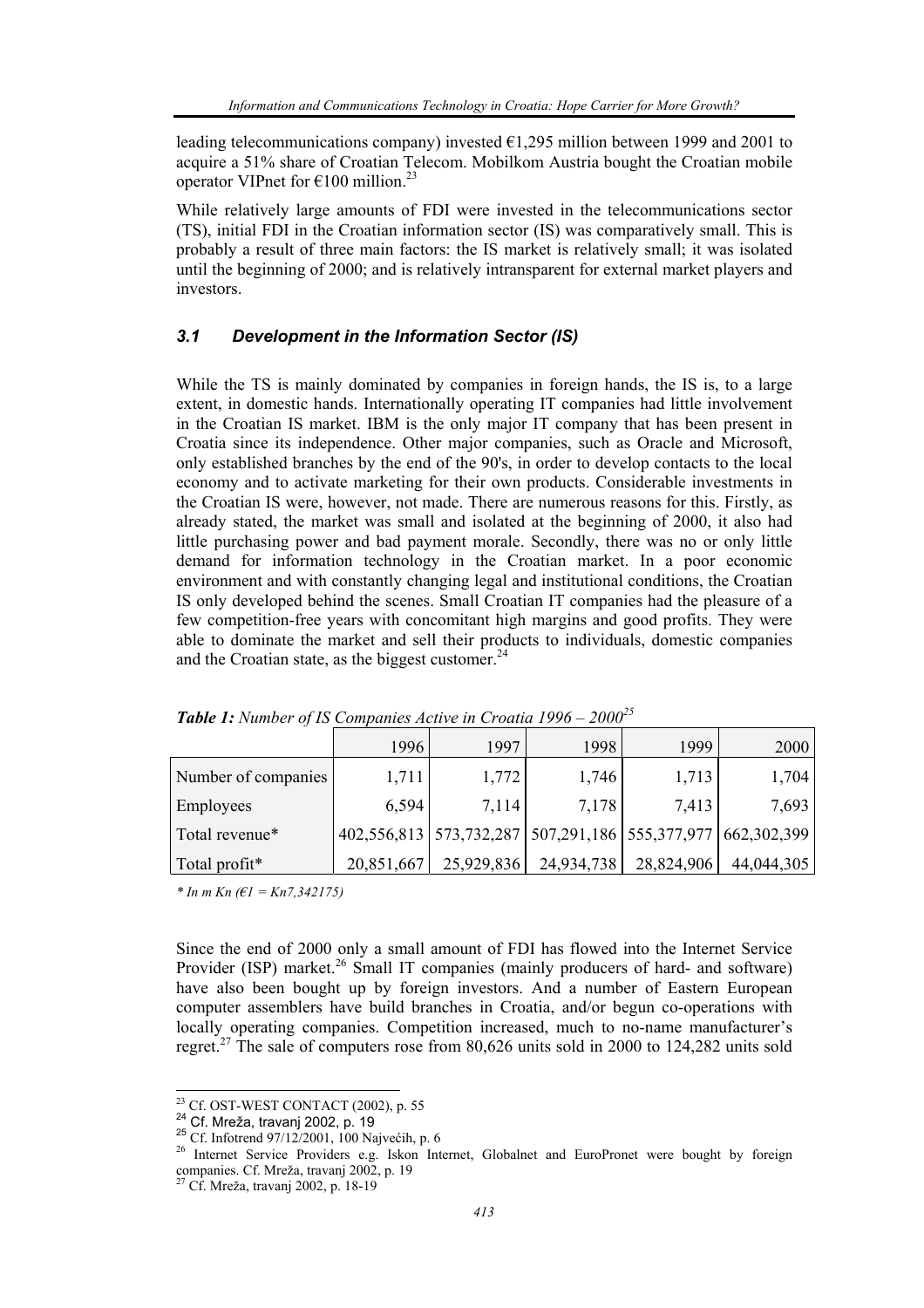leading telecommunications company) invested €1,295 million between 1999 and 2001 to acquire a 51% share of Croatian Telecom. Mobilkom Austria bought the Croatian mobile operator VIPnet for  $\epsilon$ 100 million.<sup>23</sup>

While relatively large amounts of FDI were invested in the telecommunications sector (TS), initial FDI in the Croatian information sector (IS) was comparatively small. This is probably a result of three main factors: the IS market is relatively small; it was isolated until the beginning of 2000; and is relatively intransparent for external market players and investors.

#### *3.1 Development in the Information Sector (IS)*

While the TS is mainly dominated by companies in foreign hands, the IS is, to a large extent, in domestic hands. Internationally operating IT companies had little involvement in the Croatian IS market. IBM is the only major IT company that has been present in Croatia since its independence. Other major companies, such as Oracle and Microsoft, only established branches by the end of the 90's, in order to develop contacts to the local economy and to activate marketing for their own products. Considerable investments in the Croatian IS were, however, not made. There are numerous reasons for this. Firstly, as already stated, the market was small and isolated at the beginning of 2000, it also had little purchasing power and bad payment morale. Secondly, there was no or only little demand for information technology in the Croatian market. In a poor economic environment and with constantly changing legal and institutional conditions, the Croatian IS only developed behind the scenes. Small Croatian IT companies had the pleasure of a few competition-free years with concomitant high margins and good profits. They were able to dominate the market and sell their products to individuals, domestic companies and the Croatian state, as the biggest customer. $^{24}$ 

|                     | 1996       | 1997       | 1998                                                                | 1999       | 2000       |  |  |  |
|---------------------|------------|------------|---------------------------------------------------------------------|------------|------------|--|--|--|
| Number of companies | 1,711      | 1,772      | 1,746                                                               | 1,713      | 1,704      |  |  |  |
| Employees           | 6,594      | 7,114      | 7,178                                                               | 7,413      | 7,693      |  |  |  |
| Total revenue*      |            |            | 402,556,813   573,732,287   507,291,186   555,377,977   662,302,399 |            |            |  |  |  |
| Total profit*       | 20,851,667 | 25,929,836 | 24,934,738                                                          | 28,824,906 | 44,044,305 |  |  |  |

*Table 1: Number of IS Companies Active in Croatia 1996 – 200025*

*\* In m Kn (€1 = Kn7,342175)* 

Since the end of 2000 only a small amount of FDI has flowed into the Internet Service Provider (ISP) market.<sup>26</sup> Small IT companies (mainly producers of hard- and software) have also been bought up by foreign investors. And a number of Eastern European computer assemblers have build branches in Croatia, and/or begun co-operations with locally operating companies. Competition increased, much to no-name manufacturer's regret.<sup>27</sup> The sale of computers rose from 80,626 units sold in 2000 to 124,282 units sold

<sup>&</sup>lt;sup>23</sup> Cf. OST-WEST CONTACT (2002), p. 55

<sup>24</sup> Cf. Mreža, travanj 2002, p. 19<br>
<sup>25</sup> Cf. Infotrend 97/12/2001, 100 Najvećih, p. 6<br>
<sup>25</sup> Cf. Infotrend 97/12/2001, 100 Najvećih, p. 6<br>
<sup>26</sup> Internet Service Providers e.g. Iskon Internet, Globalnet and EuroPronet were b companies. Cf. Mreža, travanj 2002, p. 19

<sup>27</sup> Cf. Mreža, travanj 2002, p. 18-19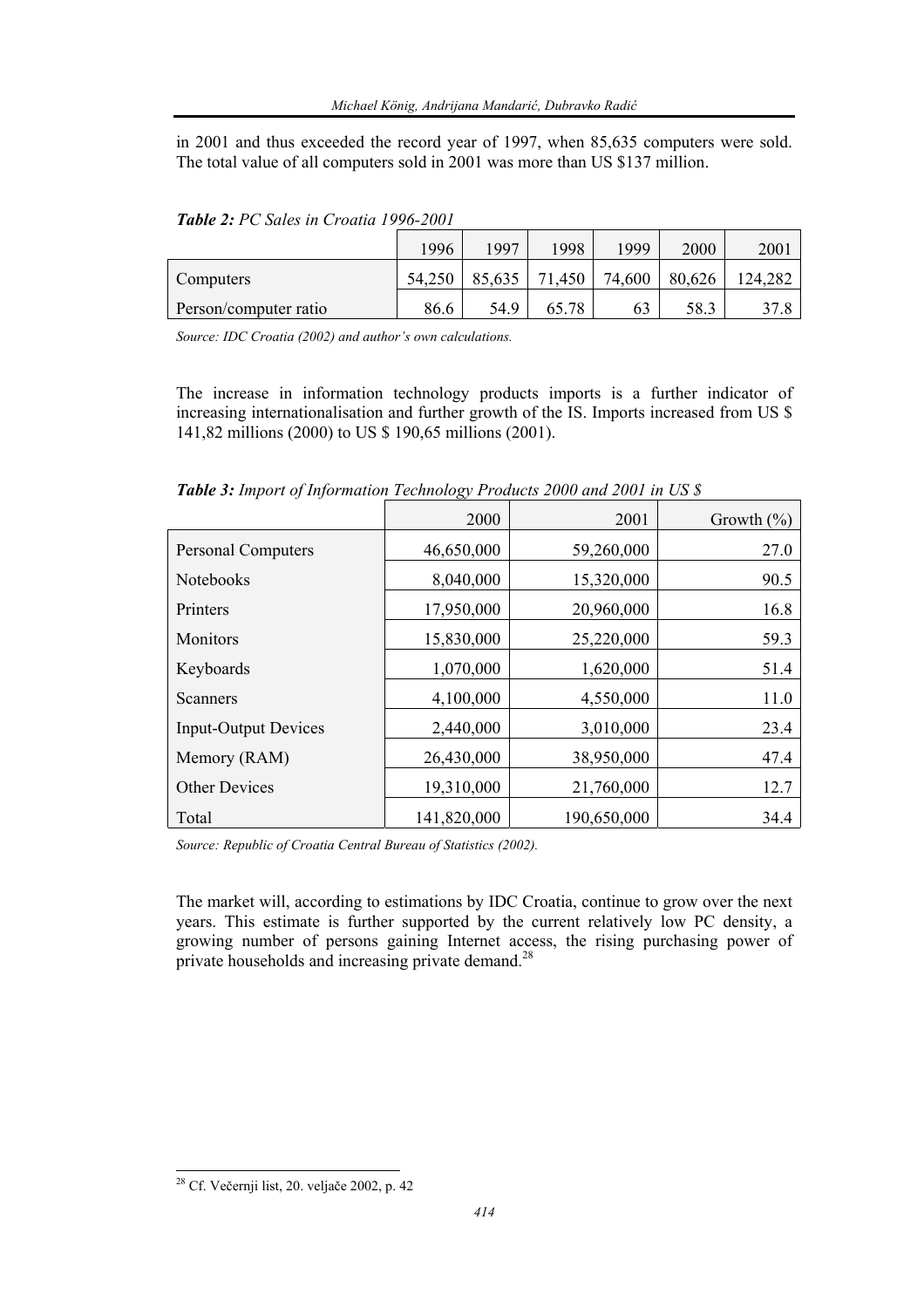in 2001 and thus exceeded the record year of 1997, when 85,635 computers were sold. The total value of all computers sold in 2001 was more than US \$137 million.

|                       | 1996   | 1997   | 1998   | 1999   | 2000   | 2001    |
|-----------------------|--------|--------|--------|--------|--------|---------|
| Computers             | 54,250 | 85,635 | 71,450 | 74,600 | 80,626 | 124,282 |
| Person/computer ratio | 86.6   | 54.9   | 65.78  | 63     | 58.3   | 37.8    |

*Table 2: PC Sales in Croatia 1996-2001* 

*Source: IDC Croatia (2002) and author's own calculations.* 

The increase in information technology products imports is a further indicator of increasing internationalisation and further growth of the IS. Imports increased from US \$ 141,82 millions (2000) to US \$ 190,65 millions (2001).

*Table 3: Import of Information Technology Products 2000 and 2001 in US \$* 

|                             | 2000        | 2001        | Growth $(\% )$ |
|-----------------------------|-------------|-------------|----------------|
| <b>Personal Computers</b>   | 46,650,000  | 59,260,000  | 27.0           |
| Notebooks                   | 8,040,000   | 15,320,000  | 90.5           |
| <b>Printers</b>             | 17,950,000  | 20,960,000  | 16.8           |
| <b>Monitors</b>             | 15,830,000  | 25,220,000  | 59.3           |
| Keyboards                   | 1,070,000   | 1,620,000   | 51.4           |
| Scanners                    | 4,100,000   | 4,550,000   | 11.0           |
| <b>Input-Output Devices</b> | 2,440,000   | 3,010,000   | 23.4           |
| Memory (RAM)                | 26,430,000  | 38,950,000  | 47.4           |
| <b>Other Devices</b>        | 19,310,000  | 21,760,000  | 12.7           |
| Total                       | 141,820,000 | 190,650,000 | 34.4           |

*Source: Republic of Croatia Central Bureau of Statistics (2002).* 

The market will, according to estimations by IDC Croatia, continue to grow over the next years. This estimate is further supported by the current relatively low PC density, a growing number of persons gaining Internet access, the rising purchasing power of private households and increasing private demand.<sup>28</sup>

<sup>&</sup>lt;sup>28</sup> Cf. Večernji list, 20. veljače 2002, p. 42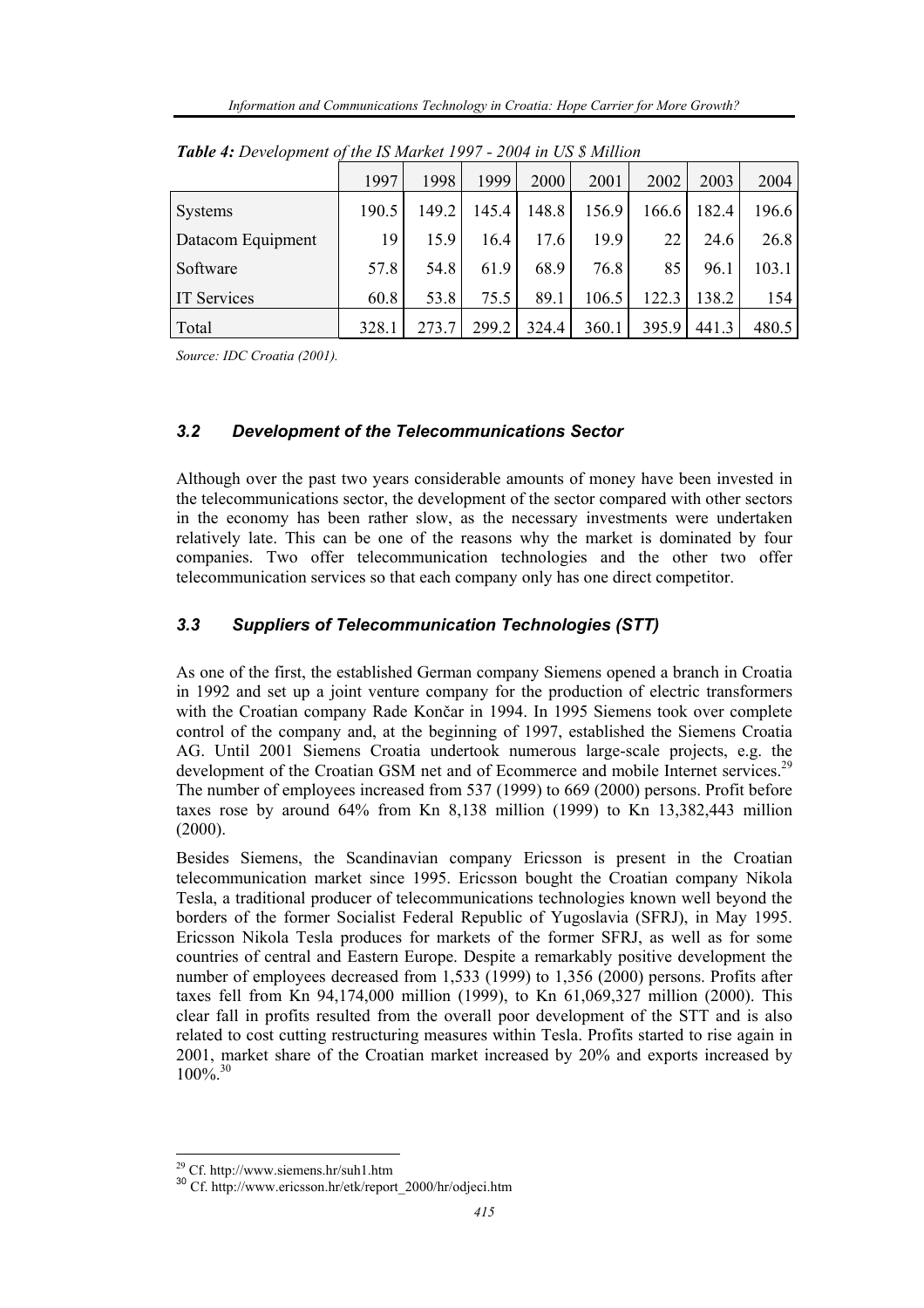|                    | 1997  | 1998  | 1999  | 2000  | 2001  | 2002  | 2003  | 2004  |
|--------------------|-------|-------|-------|-------|-------|-------|-------|-------|
| Systems            | 190.5 | 149.2 | 145.4 | 148.8 | 156.9 | 166.6 | 182.4 | 196.6 |
| Datacom Equipment  | 19    | 15.9  | 16.4  | 17.6  | 19.9  | 22    | 24.6  | 26.8  |
| Software           | 57.8  | 54.8  | 61.9  | 68.9  | 76.8  | 85    | 96.1  | 103.1 |
| <b>IT Services</b> | 60.8  | 53.8  | 75.5  | 89.1  | 106.5 | 122.3 | 138.2 | 154   |
| Total              | 328.1 | 273.7 | 299.2 | 324.4 | 360.1 | 395.9 | 441.3 | 480.5 |

*Table 4: Development of the IS Market 1997 - 2004 in US \$ Million* 

*Source: IDC Croatia (2001).*

### *3.2 Development of the Telecommunications Sector*

Although over the past two years considerable amounts of money have been invested in the telecommunications sector, the development of the sector compared with other sectors in the economy has been rather slow, as the necessary investments were undertaken relatively late. This can be one of the reasons why the market is dominated by four companies. Two offer telecommunication technologies and the other two offer telecommunication services so that each company only has one direct competitor.

#### *3.3 Suppliers of Telecommunication Technologies (STT)*

As one of the first, the established German company Siemens opened a branch in Croatia in 1992 and set up a joint venture company for the production of electric transformers with the Croatian company Rade Končar in 1994. In 1995 Siemens took over complete control of the company and, at the beginning of 1997, established the Siemens Croatia AG. Until 2001 Siemens Croatia undertook numerous large-scale projects, e.g. the development of the Croatian GSM net and of Ecommerce and mobile Internet services.<sup>29</sup> The number of employees increased from 537 (1999) to 669 (2000) persons. Profit before taxes rose by around 64% from Kn 8,138 million (1999) to Kn 13,382,443 million (2000).

Besides Siemens, the Scandinavian company Ericsson is present in the Croatian telecommunication market since 1995. Ericsson bought the Croatian company Nikola Tesla, a traditional producer of telecommunications technologies known well beyond the borders of the former Socialist Federal Republic of Yugoslavia (SFRJ), in May 1995. Ericsson Nikola Tesla produces for markets of the former SFRJ, as well as for some countries of central and Eastern Europe. Despite a remarkably positive development the number of employees decreased from 1,533 (1999) to 1,356 (2000) persons. Profits after taxes fell from Kn 94,174,000 million (1999), to Kn 61,069,327 million (2000). This clear fall in profits resulted from the overall poor development of the STT and is also related to cost cutting restructuring measures within Tesla. Profits started to rise again in 2001, market share of the Croatian market increased by 20% and exports increased by  $100\%$ <sup>30</sup>

<sup>&</sup>lt;sup>29</sup> Cf. http://www.siemens.hr/suh1.htm

<sup>&</sup>lt;sup>30</sup> Cf. http://www.ericsson.hr/etk/report\_2000/hr/odjeci.htm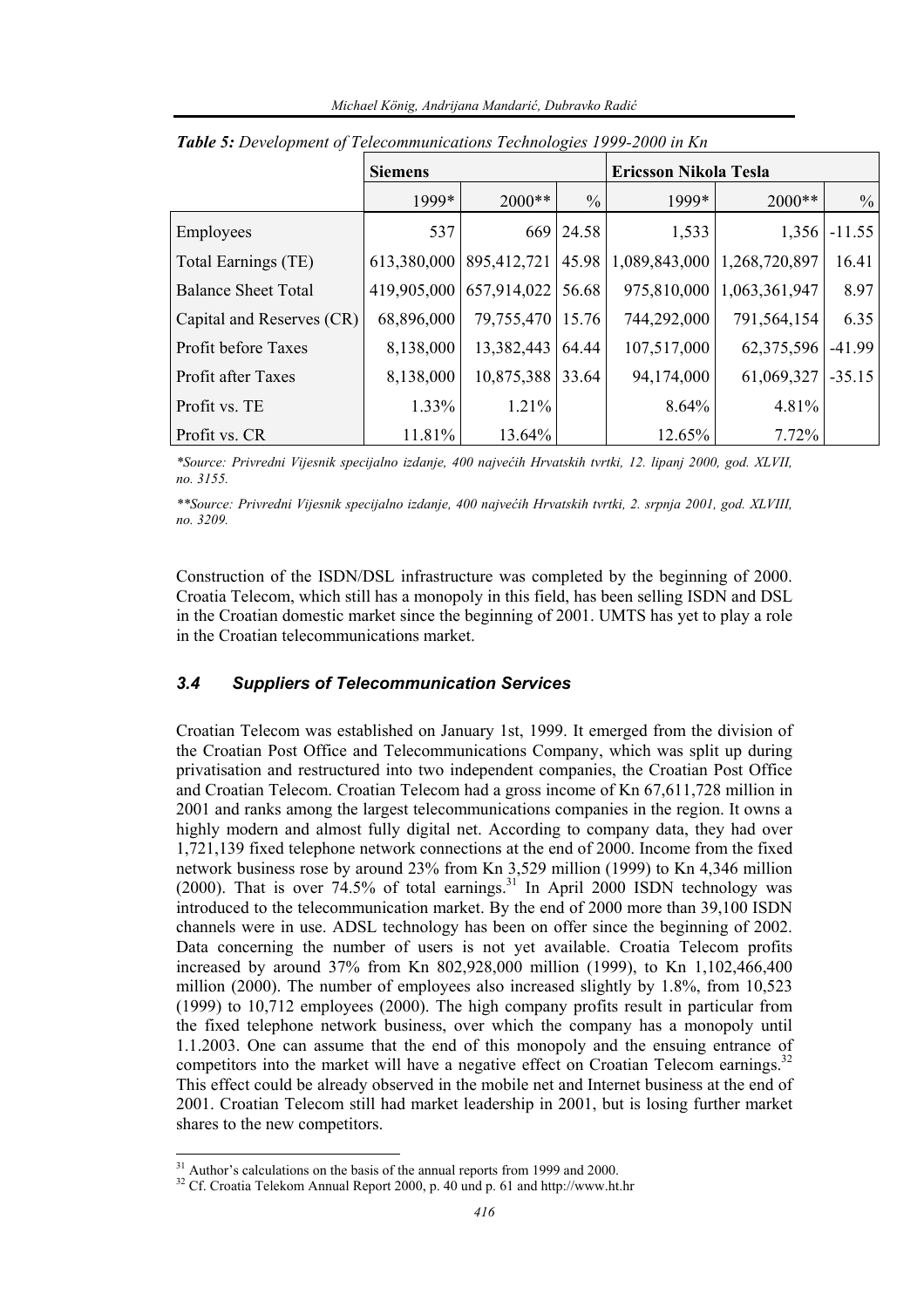|                            | <b>Siemens</b> |                                   |               | <b>Ericsson Nikola Tesla</b> |                               |               |
|----------------------------|----------------|-----------------------------------|---------------|------------------------------|-------------------------------|---------------|
|                            | 1999*          | $2000**$                          | $\frac{0}{0}$ | 1999*                        | $2000**$                      | $\frac{0}{0}$ |
| Employees                  | 537            |                                   | 669 24.58     | 1,533                        | 1,356                         | $-11.55$      |
| Total Earnings (TE)        |                | 613,380,000   895,412,721   45.98 |               |                              | 1,089,843,000   1,268,720,897 | 16.41         |
| <b>Balance Sheet Total</b> | 419,905,000    | 657,914,022 56.68                 |               | 975,810,000                  | 1,063,361,947                 | 8.97          |
| Capital and Reserves (CR)  | 68,896,000     | 79,755,470                        | 15.76         | 744,292,000                  | 791,564,154                   | 6.35          |
| Profit before Taxes        | 8,138,000      | 13,382,443 64.44                  |               | 107,517,000                  | 62,375,596                    | $-41.99$      |
| Profit after Taxes         | 8,138,000      | 10,875,388 33.64                  |               | 94,174,000                   | 61,069,327                    | $-35.15$      |
| Profit vs. TE              | 1.33%          | 1.21%                             |               | 8.64%                        | 4.81%                         |               |
| Profit vs. CR              | 11.81%         | 13.64%                            |               | 12.65%                       | 7.72%                         |               |

*Table 5: Development of Telecommunications Technologies 1999-2000 in Kn* 

*\*Source: Privredni Vijesnik specijalno izdanje, 400 najvećih Hrvatskih tvrtki, 12. lipanj 2000, god. XLVII, no. 3155.* 

*\*\*Source: Privredni Vijesnik specijalno izdanje, 400 najvećih Hrvatskih tvrtki, 2. srpnja 2001, god. XLVIII, no. 3209.* 

Construction of the ISDN/DSL infrastructure was completed by the beginning of 2000. Croatia Telecom, which still has a monopoly in this field, has been selling ISDN and DSL in the Croatian domestic market since the beginning of 2001. UMTS has yet to play a role in the Croatian telecommunications market.

#### *3.4 Suppliers of Telecommunication Services*

Croatian Telecom was established on January 1st, 1999. It emerged from the division of the Croatian Post Office and Telecommunications Company, which was split up during privatisation and restructured into two independent companies, the Croatian Post Office and Croatian Telecom. Croatian Telecom had a gross income of Kn 67,611,728 million in 2001 and ranks among the largest telecommunications companies in the region. It owns a highly modern and almost fully digital net. According to company data, they had over 1,721,139 fixed telephone network connections at the end of 2000. Income from the fixed network business rose by around 23% from Kn 3,529 million (1999) to Kn 4,346 million (2000). That is over  $74.5\%$  of total earnings.<sup>31</sup> In April 2000 ISDN technology was introduced to the telecommunication market. By the end of 2000 more than 39,100 ISDN channels were in use. ADSL technology has been on offer since the beginning of 2002. Data concerning the number of users is not yet available. Croatia Telecom profits increased by around 37% from Kn 802,928,000 million (1999), to Kn 1,102,466,400 million (2000). The number of employees also increased slightly by 1.8%, from 10,523 (1999) to 10,712 employees (2000). The high company profits result in particular from the fixed telephone network business, over which the company has a monopoly until 1.1.2003. One can assume that the end of this monopoly and the ensuing entrance of competitors into the market will have a negative effect on Croatian Telecom earnings.<sup>32</sup> This effect could be already observed in the mobile net and Internet business at the end of 2001. Croatian Telecom still had market leadership in 2001, but is losing further market shares to the new competitors.

 $31$  Author's calculations on the basis of the annual reports from 1999 and 2000.

<sup>&</sup>lt;sup>32</sup> Cf. Croatia Telekom Annual Report 2000, p. 40 und p. 61 and http://www.ht.hr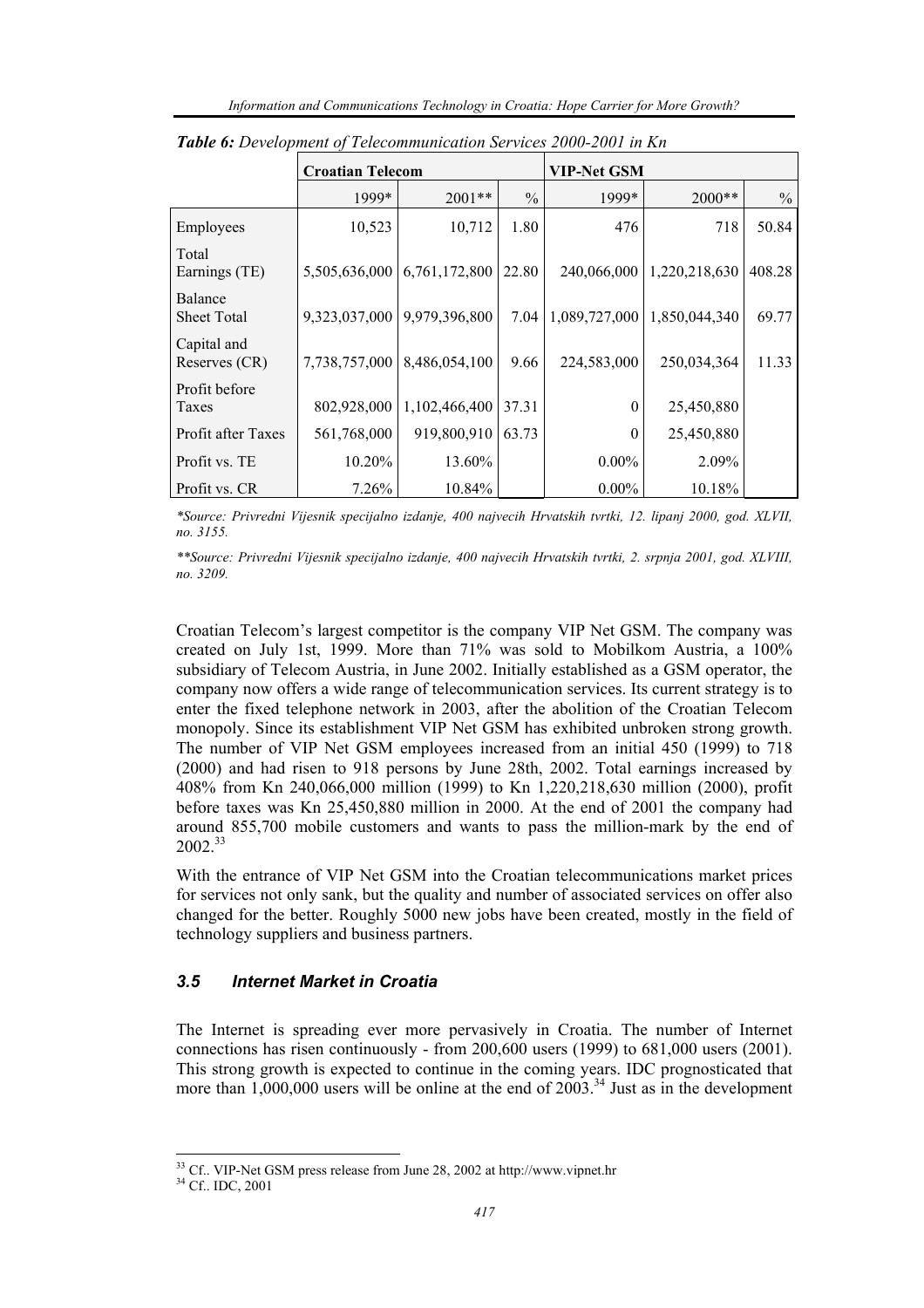|                               | <b>Croatian Telecom</b> |               |               | <b>VIP-Net GSM</b> |               |               |  |
|-------------------------------|-------------------------|---------------|---------------|--------------------|---------------|---------------|--|
|                               | 1999*                   | $2001**$      | $\frac{0}{0}$ | 1999*              | 2000**        | $\frac{0}{0}$ |  |
| Employees                     | 10,523                  | 10,712        | 1.80          | 476                | 718           | 50.84         |  |
| Total<br>Earnings (TE)        | 5,505,636,000           | 6,761,172,800 | 22.80         | 240,066,000        | 1,220,218,630 | 408.28        |  |
| Balance<br><b>Sheet Total</b> | 9,323,037,000           | 9,979,396,800 | 7.04          | 1,089,727,000      | 1,850,044,340 | 69.77         |  |
| Capital and<br>Reserves (CR)  | 7,738,757,000           | 8,486,054,100 | 9.66          | 224,583,000        | 250,034,364   | 11.33         |  |
| Profit before<br>Taxes        | 802,928,000             | 1,102,466,400 | 37.31         | 0                  | 25,450,880    |               |  |
| Profit after Taxes            | 561,768,000             | 919,800,910   | 63.73         | 0                  | 25,450,880    |               |  |
| Profit vs. TE                 | $10.20\%$               | 13.60%        |               | $0.00\%$           | 2.09%         |               |  |
| Profit vs. CR                 | $7.26\%$                | 10.84%        |               | $0.00\%$           | 10.18%        |               |  |

*Table 6: Development of Telecommunication Services 2000-2001 in Kn* 

*\*Source: Privredni Vijesnik specijalno izdanje, 400 najvecih Hrvatskih tvrtki, 12. lipanj 2000, god. XLVII, no. 3155.* 

*\*\*Source: Privredni Vijesnik specijalno izdanje, 400 najvecih Hrvatskih tvrtki, 2. srpnja 2001, god. XLVIII, no. 3209.* 

Croatian Telecom's largest competitor is the company VIP Net GSM. The company was created on July 1st, 1999. More than 71% was sold to Mobilkom Austria, a 100% subsidiary of Telecom Austria, in June 2002. Initially established as a GSM operator, the company now offers a wide range of telecommunication services. Its current strategy is to enter the fixed telephone network in 2003, after the abolition of the Croatian Telecom monopoly. Since its establishment VIP Net GSM has exhibited unbroken strong growth. The number of VIP Net GSM employees increased from an initial 450 (1999) to 718 (2000) and had risen to 918 persons by June 28th, 2002. Total earnings increased by 408% from Kn 240,066,000 million (1999) to Kn 1,220,218,630 million (2000), profit before taxes was Kn 25,450,880 million in 2000. At the end of 2001 the company had around 855,700 mobile customers and wants to pass the million-mark by the end of 2002<sup>33</sup>

With the entrance of VIP Net GSM into the Croatian telecommunications market prices for services not only sank, but the quality and number of associated services on offer also changed for the better. Roughly 5000 new jobs have been created, mostly in the field of technology suppliers and business partners.

#### *3.5 Internet Market in Croatia*

The Internet is spreading ever more pervasively in Croatia. The number of Internet connections has risen continuously - from 200,600 users (1999) to 681,000 users (2001). This strong growth is expected to continue in the coming years. IDC prognosticated that more than  $1,000,000$  users will be online at the end of  $2003$ .<sup>34</sup> Just as in the development

 $33 \text{ }$  Cf.. VIP-Net GSM press release from June 28, 2002 at http://www.vipnet.hr  $34 \text{ }$  Cf.. IDC, 2001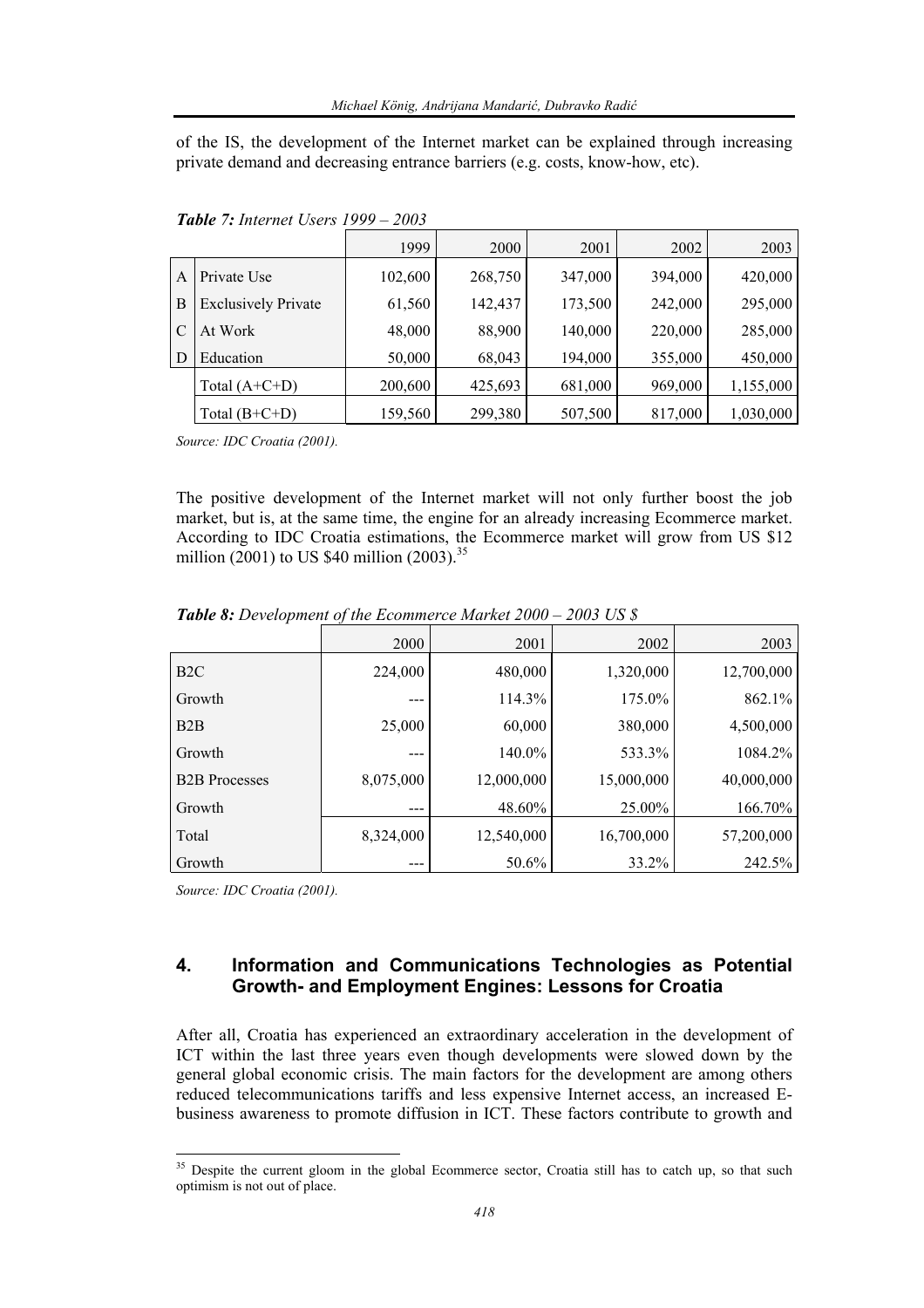of the IS, the development of the Internet market can be explained through increasing private demand and decreasing entrance barriers (e.g. costs, know-how, etc).

|   |                            | 1999    | 2000    | 2001    | 2002    | 2003      |
|---|----------------------------|---------|---------|---------|---------|-----------|
| A | Private Use                | 102,600 | 268,750 | 347,000 | 394,000 | 420,000   |
| B | <b>Exclusively Private</b> | 61,560  | 142,437 | 173,500 | 242,000 | 295,000   |
| C | At Work                    | 48,000  | 88,900  | 140,000 | 220,000 | 285,000   |
| D | Education                  | 50,000  | 68,043  | 194,000 | 355,000 | 450,000   |
|   | Total $(A+C+D)$            | 200,600 | 425,693 | 681,000 | 969,000 | 1,155,000 |
|   | Total $(B+C+D)$            | 159,560 | 299,380 | 507,500 | 817,000 | 1,030,000 |

*Table 7: Internet Users 1999 – 2003* 

*Source: IDC Croatia (2001).* 

The positive development of the Internet market will not only further boost the job market, but is, at the same time, the engine for an already increasing Ecommerce market. According to IDC Croatia estimations, the Ecommerce market will grow from US \$12 million (2001) to US \$40 million (2003).<sup>35</sup>

|                      | 2000      | 2001       | 2002       | 2003       |
|----------------------|-----------|------------|------------|------------|
| B <sub>2</sub> C     | 224,000   | 480,000    | 1,320,000  | 12,700,000 |
| Growth               |           | 114.3%     | 175.0%     | 862.1%     |
| B2B                  | 25,000    | 60,000     | 380,000    | 4,500,000  |
| Growth               |           | 140.0%     | 533.3%     | 1084.2%    |
| <b>B2B</b> Processes | 8,075,000 | 12,000,000 | 15,000,000 | 40,000,000 |
| Growth               |           | 48.60%     | 25.00%     | 166.70%    |
| Total                | 8,324,000 | 12,540,000 | 16,700,000 | 57,200,000 |
| Growth               |           | 50.6%      | 33.2%      | 242.5%     |

*Table 8: Development of the Ecommerce Market 2000 – 2003 US \$* 

*Source: IDC Croatia (2001).* 

l

## **4. Information and Communications Technologies as Potential Growth- and Employment Engines: Lessons for Croatia**

After all, Croatia has experienced an extraordinary acceleration in the development of ICT within the last three years even though developments were slowed down by the general global economic crisis. The main factors for the development are among others reduced telecommunications tariffs and less expensive Internet access, an increased Ebusiness awareness to promote diffusion in ICT. These factors contribute to growth and

<sup>&</sup>lt;sup>35</sup> Despite the current gloom in the global Ecommerce sector, Croatia still has to catch up, so that such optimism is not out of place.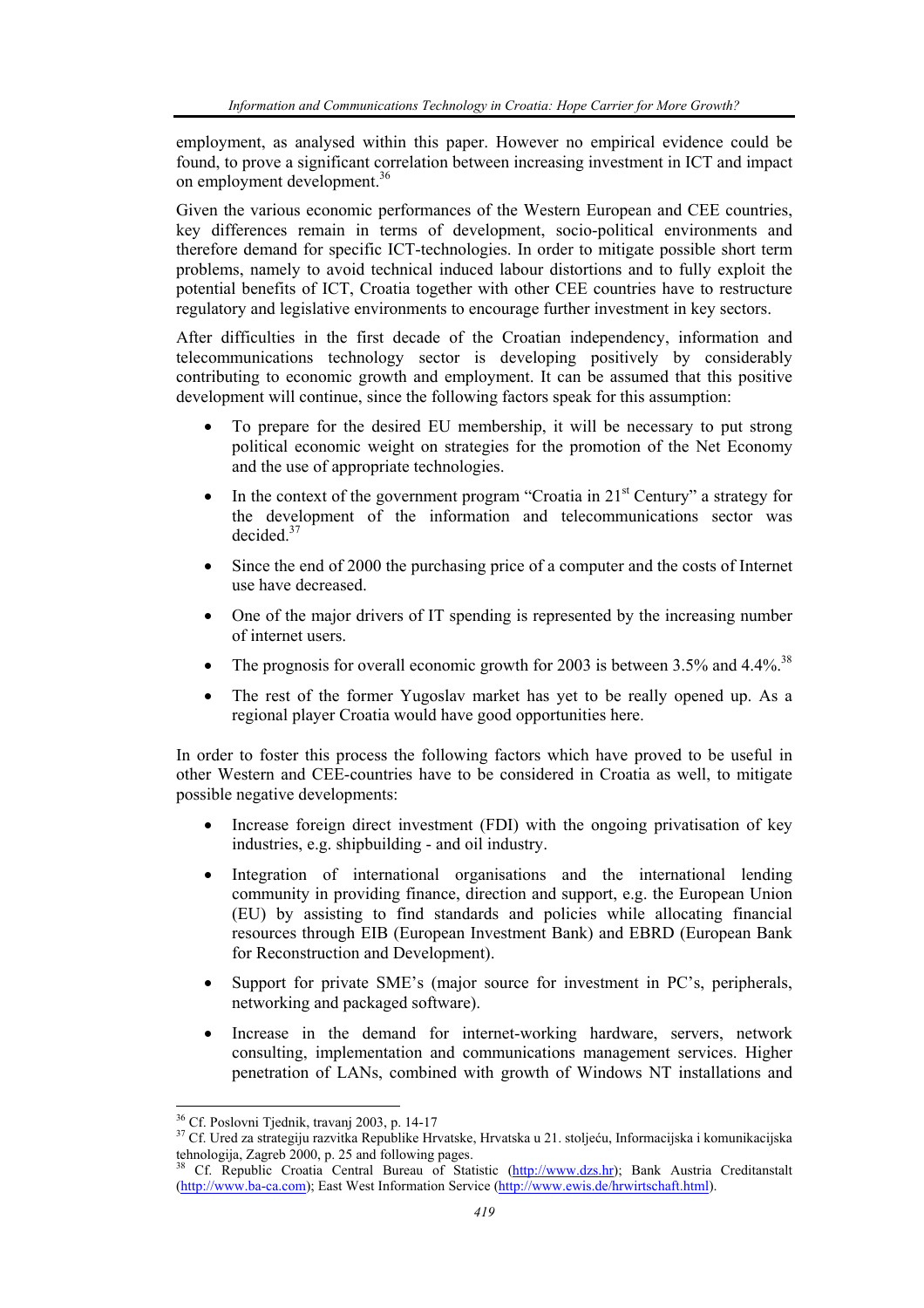employment, as analysed within this paper. However no empirical evidence could be found, to prove a significant correlation between increasing investment in ICT and impact on employment development.36

Given the various economic performances of the Western European and CEE countries, key differences remain in terms of development, socio-political environments and therefore demand for specific ICT-technologies. In order to mitigate possible short term problems, namely to avoid technical induced labour distortions and to fully exploit the potential benefits of ICT, Croatia together with other CEE countries have to restructure regulatory and legislative environments to encourage further investment in key sectors.

After difficulties in the first decade of the Croatian independency, information and telecommunications technology sector is developing positively by considerably contributing to economic growth and employment. It can be assumed that this positive development will continue, since the following factors speak for this assumption:

- To prepare for the desired EU membership, it will be necessary to put strong political economic weight on strategies for the promotion of the Net Economy and the use of appropriate technologies.
- In the context of the government program "Croatia in  $21<sup>st</sup>$  Century" a strategy for the development of the information and telecommunications sector was decided.37
- Since the end of 2000 the purchasing price of a computer and the costs of Internet use have decreased.
- One of the major drivers of IT spending is represented by the increasing number of internet users.
- The prognosis for overall economic growth for 2003 is between  $3.5\%$  and  $4.4\%$ <sup>38</sup>
- The rest of the former Yugoslav market has yet to be really opened up. As a regional player Croatia would have good opportunities here.

In order to foster this process the following factors which have proved to be useful in other Western and CEE-countries have to be considered in Croatia as well, to mitigate possible negative developments:

- Increase foreign direct investment (FDI) with the ongoing privatisation of key industries, e.g. shipbuilding - and oil industry.
- Integration of international organisations and the international lending community in providing finance, direction and support, e.g. the European Union (EU) by assisting to find standards and policies while allocating financial resources through EIB (European Investment Bank) and EBRD (European Bank for Reconstruction and Development).
- Support for private SME's (major source for investment in PC's, peripherals, networking and packaged software).
- Increase in the demand for internet-working hardware, servers, network consulting, implementation and communications management services. Higher penetration of LANs, combined with growth of Windows NT installations and

 $\overline{a}$ 36 Cf. Poslovni Tjednik, travanj 2003, p. 14-17

<sup>&</sup>lt;sup>37</sup> Cf. Ured za strategiju razvitka Republike Hrvatske, Hrvatska u 21. stoljeću, Informacijska i komunikacijska tehnologija, Zagreb 2000, p. 25 and following pages.

<sup>38</sup> Cf. Republic Croatia Central Bureau of Statistic (http://www.dzs.hr); Bank Austria Creditanstalt (http://www.ba-ca.com); East West Information Service (http://www.ewis.de/hrwirtschaft.html).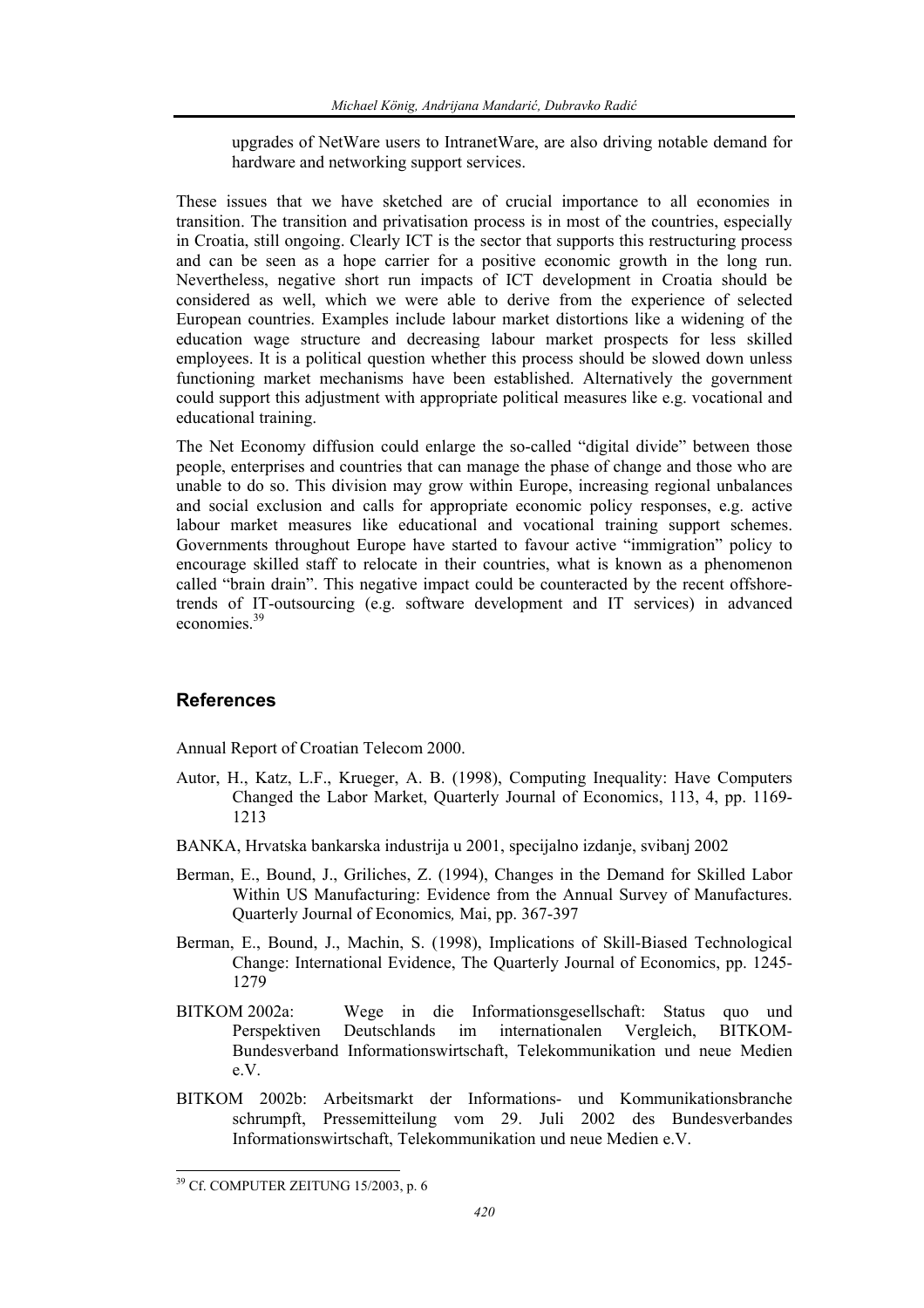upgrades of NetWare users to IntranetWare, are also driving notable demand for hardware and networking support services.

These issues that we have sketched are of crucial importance to all economies in transition. The transition and privatisation process is in most of the countries, especially in Croatia, still ongoing. Clearly ICT is the sector that supports this restructuring process and can be seen as a hope carrier for a positive economic growth in the long run. Nevertheless, negative short run impacts of ICT development in Croatia should be considered as well, which we were able to derive from the experience of selected European countries. Examples include labour market distortions like a widening of the education wage structure and decreasing labour market prospects for less skilled employees. It is a political question whether this process should be slowed down unless functioning market mechanisms have been established. Alternatively the government could support this adjustment with appropriate political measures like e.g. vocational and educational training.

The Net Economy diffusion could enlarge the so-called "digital divide" between those people, enterprises and countries that can manage the phase of change and those who are unable to do so. This division may grow within Europe, increasing regional unbalances and social exclusion and calls for appropriate economic policy responses, e.g. active labour market measures like educational and vocational training support schemes. Governments throughout Europe have started to favour active "immigration" policy to encourage skilled staff to relocate in their countries, what is known as a phenomenon called "brain drain". This negative impact could be counteracted by the recent offshoretrends of IT-outsourcing (e.g. software development and IT services) in advanced economies<sup>39</sup>

## **References**

Annual Report of Croatian Telecom 2000.

- Autor, H., Katz, L.F., Krueger, A. B. (1998), Computing Inequality: Have Computers Changed the Labor Market, Quarterly Journal of Economics, 113, 4, pp. 1169- 1213
- BANKA, Hrvatska bankarska industrija u 2001, specijalno izdanje, svibanj 2002
- Berman, E., Bound, J., Griliches, Z. (1994), Changes in the Demand for Skilled Labor Within US Manufacturing: Evidence from the Annual Survey of Manufactures. Quarterly Journal of Economics*,* Mai, pp. 367-397
- Berman, E., Bound, J., Machin, S. (1998), Implications of Skill-Biased Technological Change: International Evidence, The Quarterly Journal of Economics, pp. 1245- 1279
- BITKOM 2002a: Wege in die Informationsgesellschaft: Status quo und Perspektiven Deutschlands im internationalen Vergleich, BITKOM-Bundesverband Informationswirtschaft, Telekommunikation und neue Medien e.V.
- BITKOM 2002b: Arbeitsmarkt der Informations- und Kommunikationsbranche schrumpft, Pressemitteilung vom 29. Juli 2002 des Bundesverbandes Informationswirtschaft, Telekommunikation und neue Medien e.V.

<sup>39</sup> Cf. COMPUTER ZEITUNG 15/2003, p. 6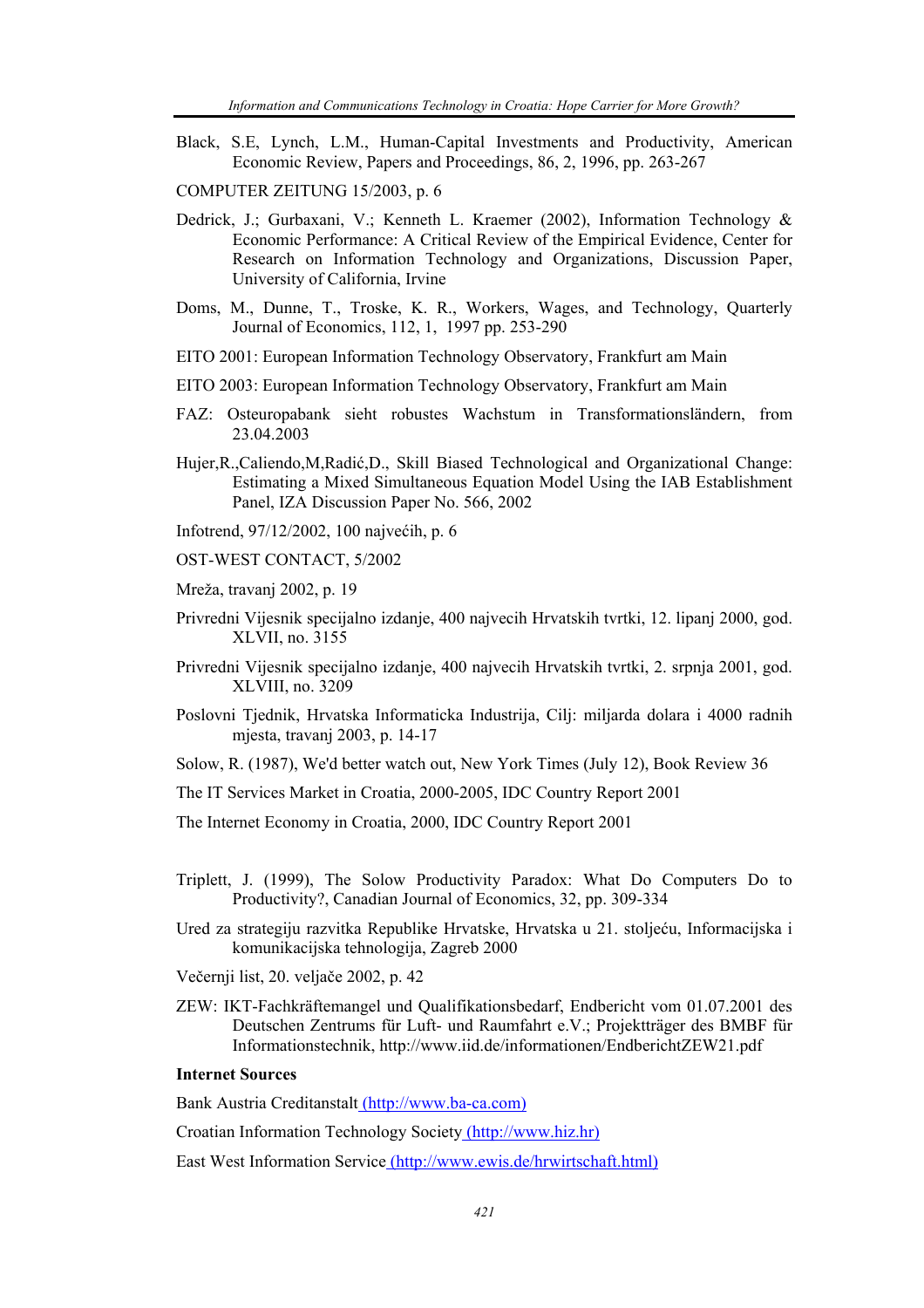- Black, S.E, Lynch, L.M., Human-Capital Investments and Productivity, American Economic Review, Papers and Proceedings, 86, 2, 1996, pp. 263-267
- COMPUTER ZEITUNG 15/2003, p. 6
- Dedrick, J.; Gurbaxani, V.; Kenneth L. Kraemer (2002), Information Technology & Economic Performance: A Critical Review of the Empirical Evidence, Center for Research on Information Technology and Organizations, Discussion Paper, University of California, Irvine
- Doms, M., Dunne, T., Troske, K. R., Workers, Wages, and Technology, Quarterly Journal of Economics, 112, 1, 1997 pp. 253-290
- EITO 2001: European Information Technology Observatory, Frankfurt am Main
- EITO 2003: European Information Technology Observatory, Frankfurt am Main
- FAZ: Osteuropabank sieht robustes Wachstum in Transformationsländern, from 23.04.2003
- Hujer,R.,Caliendo,M,Radić,D., Skill Biased Technological and Organizational Change: Estimating a Mixed Simultaneous Equation Model Using the IAB Establishment Panel, IZA Discussion Paper No. 566, 2002

Infotrend, 97/12/2002, 100 najvećih, p. 6

- OST-WEST CONTACT, 5/2002
- Mreža, travanj 2002, p. 19
- Privredni Vijesnik specijalno izdanje, 400 najvecih Hrvatskih tvrtki, 12. lipanj 2000, god. XLVII, no. 3155
- Privredni Vijesnik specijalno izdanje, 400 najvecih Hrvatskih tvrtki, 2. srpnja 2001, god. XLVIII, no. 3209
- Poslovni Tjednik, Hrvatska Informaticka Industrija, Cilj: miljarda dolara i 4000 radnih mjesta, travanj 2003, p. 14-17
- Solow, R. (1987), We'd better watch out, New York Times (July 12), Book Review 36
- The IT Services Market in Croatia, 2000-2005, IDC Country Report 2001

The Internet Economy in Croatia, 2000, IDC Country Report 2001

- Triplett, J. (1999), The Solow Productivity Paradox: What Do Computers Do to Productivity?, Canadian Journal of Economics, 32, pp. 309-334
- Ured za strategiju razvitka Republike Hrvatske, Hrvatska u 21. stoljeću, Informacijska i komunikacijska tehnologija, Zagreb 2000
- Večernji list, 20. veljače 2002, p. 42
- ZEW: IKT-Fachkräftemangel und Qualifikationsbedarf, Endbericht vom 01.07.2001 des Deutschen Zentrums für Luft- und Raumfahrt e.V.; Projektträger des BMBF für Informationstechnik, http://www.iid.de/informationen/EndberichtZEW21.pdf

#### **Internet Sources**

Bank Austria Creditanstalt (http://www.ba-ca.com)

Croatian Information Technology Society (http://www.hiz.hr)

East West Information Service (http://www.ewis.de/hrwirtschaft.html)